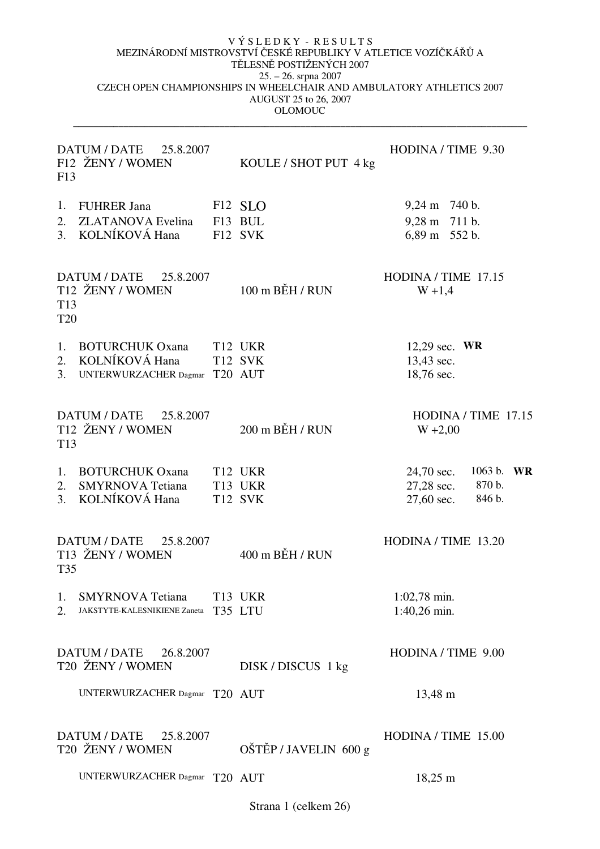$\_$  ,  $\_$  ,  $\_$  ,  $\_$  ,  $\_$  ,  $\_$  ,  $\_$  ,  $\_$  ,  $\_$  ,  $\_$  ,  $\_$  ,  $\_$  ,  $\_$  ,  $\_$  ,  $\_$  ,  $\_$  ,  $\_$  ,  $\_$  ,  $\_$  ,  $\_$  ,  $\_$  ,  $\_$  ,  $\_$  ,  $\_$  ,  $\_$  ,  $\_$  ,  $\_$  ,  $\_$  ,  $\_$  ,  $\_$  ,  $\_$  ,  $\_$  ,  $\_$  ,  $\_$  ,  $\_$  ,  $\_$  ,  $\_$  ,

| DATUM / DATE 25.8.2007<br>F12 ŽENY / WOMEN<br>F13                                        | KOULE / SHOT PUT 4 kg                     | HODINA / TIME 9.30                                                          |
|------------------------------------------------------------------------------------------|-------------------------------------------|-----------------------------------------------------------------------------|
| 1.<br>FUHRER Jana<br>2.<br><b>ZLATANOVA</b> Evelina<br>3. KOLNÍKOVÁ Hana                 | F <sub>12</sub> SLO<br>F13 BUL<br>F12 SVK | $9,24 \text{ m}$ 740 b.<br>9,28 m 711 b.<br>6,89 m 552 b.                   |
| DATUM / DATE<br>25.8.2007<br>T12 ŽENY / WOMEN<br>T <sub>13</sub><br><b>T20</b>           | $100 \text{ m}$ BEH / RUN                 | HODINA / TIME 17.15<br>$W + 1,4$                                            |
| <b>BOTURCHUK Oxana</b><br>1.<br>2. KOLNÍKOVÁ Hana<br>UNTERWURZACHER Dagmar T20 AUT<br>3. | T <sub>12</sub> UKR<br><b>T12 SVK</b>     | 12,29 sec. $WR$<br>13,43 sec.<br>18,76 sec.                                 |
| DATUM / DATE 25.8.2007<br>T12 ŽENY / WOMEN<br>T <sub>13</sub>                            | $200$ m $BEH/$ RUN                        | HODINA / TIME 17.15<br>$W + 2,00$                                           |
| 1.<br><b>BOTURCHUK Oxana</b><br><b>SMYRNOVA</b> Tetiana<br>2.<br>KOLNÍKOVÁ Hana<br>3.    | T12 UKR<br>T13 UKR<br>T12 SVK             | 1063 b.<br>24,70 sec.<br>WR<br>27,28 sec.<br>870 b.<br>846 b.<br>27,60 sec. |
| DATUM / DATE<br>25.8.2007<br>T13 ŽENY / WOMEN<br><b>T35</b>                              | $400$ m BEH / RUN                         | HODINA / TIME 13.20                                                         |
| 1.<br><b>SMYRNOVA</b> Tetiana<br>2.<br>JAKSTYTE-KALESNIKIENE Zaneta                      | T13 UKR<br>T35 LTU                        | $1:02,78$ min.<br>1:40,26 min.                                              |
| DATUM / DATE<br>26.8.2007<br>T20 ŽENY / WOMEN                                            | DISK/DISCUS 1 kg                          | HODINA / TIME 9.00                                                          |
| UNTERWURZACHER Dagmar T20 AUT                                                            |                                           | 13,48 m                                                                     |
| DATUM / DATE 25.8.2007<br>T20 ŽENY / WOMEN                                               | OŠTĚP / JAVELIN 600 g                     | HODINA / TIME 15.00                                                         |
| UNTERWURZACHER Dagmar T20 AUT                                                            |                                           | $18,25 \; \mathrm{m}$                                                       |

Strana 1 (celkem 26)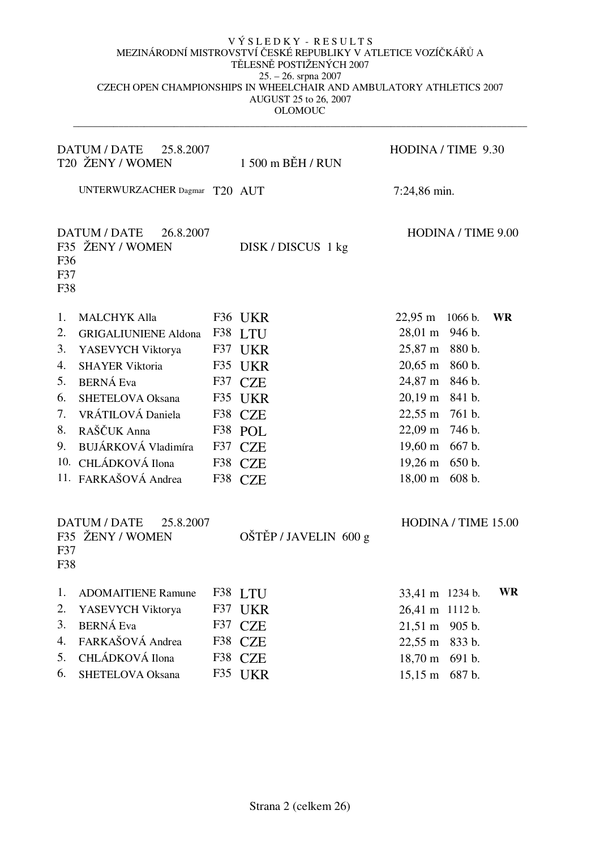|                   | DATUM / DATE<br>25.8.2007<br>T20 ŽENY / WOMEN        |     | $1500$ m BEH / RUN    | HODINA / TIME 9.30                            |
|-------------------|------------------------------------------------------|-----|-----------------------|-----------------------------------------------|
|                   | UNTERWURZACHER Dagmar T20 AUT                        |     |                       | 7:24,86 min.                                  |
| F36<br>F37<br>F38 | <b>DATUM / DATE</b><br>26.8.2007<br>F35 ŽENY / WOMEN |     | DISK/DISCUS 1 kg      | HODINA / TIME 9.00                            |
| 1.                | <b>MALCHYK Alla</b>                                  |     | F36 UKR               | $22,95 \; \mathrm{m}$<br>1066 b.<br><b>WR</b> |
| 2.                | <b>GRIGALIUNIENE Aldona</b>                          | F38 | <b>LTU</b>            | 28,01 m 946 b.                                |
| 3.                | YASEVYCH Viktorya                                    |     | F37 UKR               | 25,87 m 880 b.                                |
| 4.                | <b>SHAYER Viktoria</b>                               | F35 | <b>UKR</b>            | 20,65 m 860 b.                                |
| 5.                | <b>BERNÁ Eva</b>                                     |     | F37 CZE               | 24,87 m 846 b.                                |
| 6.                | <b>SHETELOVA Oksana</b>                              |     | F35 UKR               | 20,19 m 841 b.                                |
| 7.                | VRÁTILOVÁ Daniela                                    |     | F38 CZE               | 22,55 m 761 b.                                |
| 8.                | RAŠČUK Anna                                          |     | F38 POL               | 22,09 m 746 b.                                |
| 9.                | BUJÁRKOVÁ Vladimíra                                  |     | F37 CZE               | 19,60 m 667 b.                                |
|                   | 10. CHLÁDKOVÁ Ilona                                  |     | F38 CZE               | $19,26 \text{ m}$<br>650 b.                   |
|                   | 11. FARKAŠOVÁ Andrea                                 |     | F38 CZE               | $18,00 \; \mathrm{m}$<br>608 b.               |
| F37<br>F38        | <b>DATUM / DATE</b><br>25.8.2007<br>F35 ŽENY / WOMEN |     | OŠTĚP / JAVELIN 600 g | HODINA / TIME 15.00                           |
| 1.                | <b>ADOMAITIENE Ramune</b>                            |     | F38 LTU               | <b>WR</b><br>33,41 m 1234 b.                  |
| 2.                | YASEVYCH Viktorya                                    |     | F37 UKR               | 26,41 m 1112 b.                               |
| 3.                | <b>BERNÁ Eva</b>                                     |     | F37 CZE               | $21,51 \; \text{m}$<br>905 b.                 |
| 4.                | FARKAŠOVÁ Andrea                                     |     | F38 CZE               | $22,55 \; \text{m}$<br>833 b.                 |
| 5.                | CHLÁDKOVÁ Ilona                                      |     | F38 CZE               | $18,70 \; \mathrm{m}$<br>691 b.               |
| 6.                | SHETELOVA Oksana                                     |     | F35 UKR               | $15,15 \; \text{m}$<br>687 b.                 |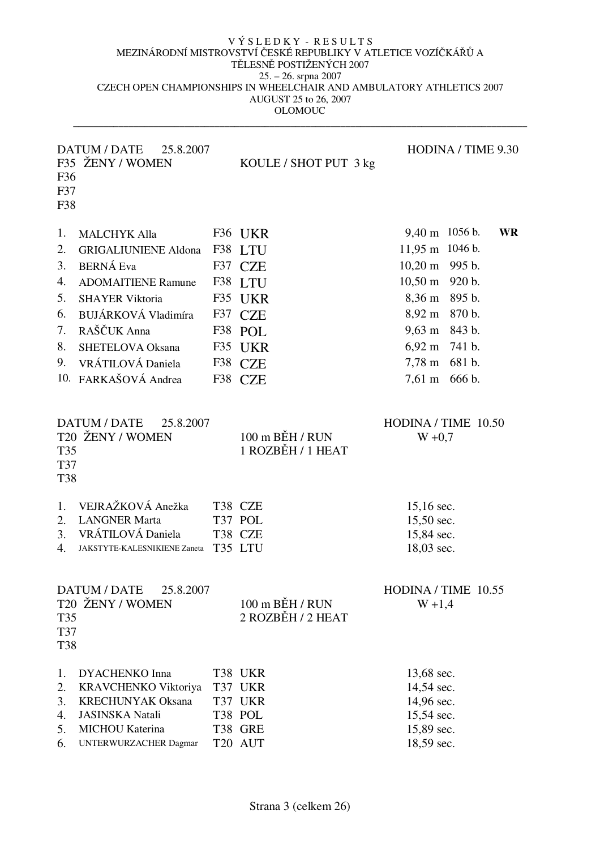| F36<br>F37<br>F38                                  | DATUM / DATE<br>25.8.2007<br>F35 ŽENY / WOMEN                                                                                                                                                                                               | KOULE / SHOT PUT 3 kg                                                                                      | HODINA / TIME 9.30                                                                                                                                                                                                                                              |
|----------------------------------------------------|---------------------------------------------------------------------------------------------------------------------------------------------------------------------------------------------------------------------------------------------|------------------------------------------------------------------------------------------------------------|-----------------------------------------------------------------------------------------------------------------------------------------------------------------------------------------------------------------------------------------------------------------|
| 1.<br>2.<br>3.<br>4.<br>5.<br>6.<br>7.<br>8.<br>9. | <b>MALCHYK Alla</b><br><b>GRIGALIUNIENE Aldona</b><br><b>BERNÁ Eva</b><br><b>ADOMAITIENE Ramune</b><br><b>SHAYER Viktoria</b><br>BUJÁRKOVÁ Vladimíra<br>RAŠČUK Anna<br><b>SHETELOVA Oksana</b><br>VRÁTILOVÁ Daniela<br>10. FARKAŠOVÁ Andrea | F36 UKR<br>F38 LTU<br>F37 CZE<br>F38 LTU<br>F35 UKR<br>F37 CZE<br>F38 POL<br>F35 UKR<br>F38 CZE<br>F38 CZE | 9,40 m 1056 b.<br><b>WR</b><br>1046 b.<br>$11,95 \; \text{m}$<br>10,20 m 995 b.<br>$10,50 \; \text{m}$<br>920 b.<br>8,36 m<br>895 b.<br>8,92 m 870 b.<br>9,63 m 843 b.<br>$6,92 \text{ m}$ 741 b.<br>$7,78 \text{ m}$<br>681 b.<br>$7,61 \; \text{m}$<br>666 b. |
| T35<br>T37<br><b>T38</b>                           | <b>DATUM / DATE</b><br>25.8.2007<br>T20 ŽENY / WOMEN                                                                                                                                                                                        | 100 m BĚH / RUN<br>1 ROZBĚH / 1 HEAT                                                                       | HODINA / TIME 10.50<br>$W + 0,7$                                                                                                                                                                                                                                |
| 1.<br>2.<br>3.<br>4.                               | VEJRAŽKOVÁ Anežka<br><b>LANGNER Marta</b><br>VRÁTILOVÁ Daniela<br>JAKSTYTE-KALESNIKIENE Zaneta                                                                                                                                              | T38 CZE<br>T37 POL<br>T38 CZE<br>T35 LTU                                                                   | 15,16 sec.<br>15,50 sec.<br>15,84 sec.<br>18,03 sec.                                                                                                                                                                                                            |
| T35<br>T37<br><b>T38</b>                           | 25.8.2007<br>DATUM / DATE<br>T20 ŽENY / WOMEN                                                                                                                                                                                               | 100 m BĚH / RUN<br>2 ROZBĚH / 2 HEAT                                                                       | HODINA / TIME 10.55<br>$W + 1,4$                                                                                                                                                                                                                                |
| 1.<br>2.<br>3.<br>4.<br>5.<br>6.                   | <b>DYACHENKO Inna</b><br>KRAVCHENKO Viktoriya<br><b>KRECHUNYAK Oksana</b><br><b>JASINSKA Natali</b><br>MICHOU Katerina<br>UNTERWURZACHER Dagmar                                                                                             | T38 UKR<br>T37 UKR<br>T37 UKR<br>T38 POL<br>T38 GRE<br>T20 AUT                                             | 13,68 sec.<br>14,54 sec.<br>14,96 sec.<br>15,54 sec.<br>15,89 sec.<br>18,59 sec.                                                                                                                                                                                |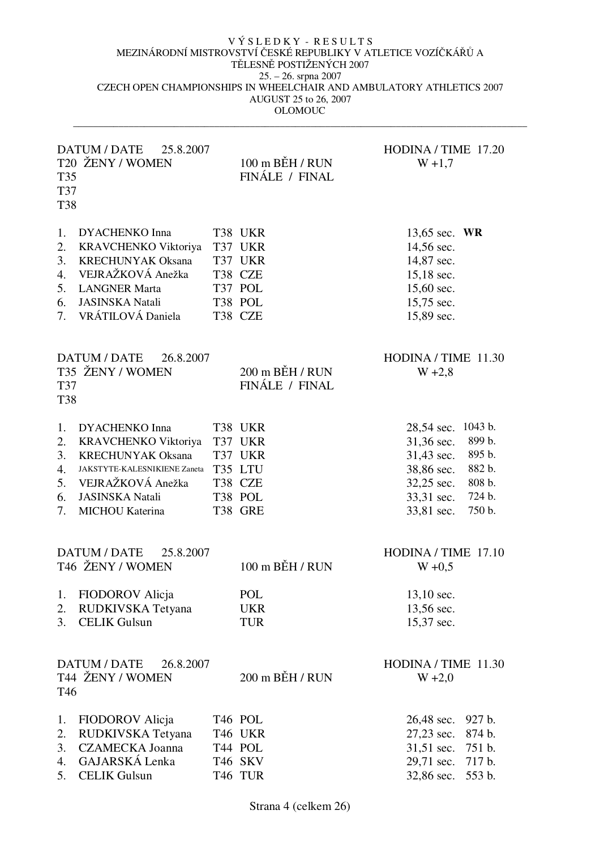| T35<br>T37<br><b>T38</b>               | DATUM / DATE<br>25.8.2007<br>T20 ŽENY / WOMEN                                                                                                                               | $100 \text{ m}$ BEH / RUN<br>FINÁLE / FINAL                               | HODINA / TIME 17.20<br>$W + 1,7$                                                                    |                                                                     |
|----------------------------------------|-----------------------------------------------------------------------------------------------------------------------------------------------------------------------------|---------------------------------------------------------------------------|-----------------------------------------------------------------------------------------------------|---------------------------------------------------------------------|
| 1.<br>2.<br>3.<br>4.<br>5.<br>6.<br>7. | <b>DYACHENKO Inna</b><br>KRAVCHENKO Viktoriya<br><b>KRECHUNYAK Oksana</b><br>VEJRAŽKOVÁ Anežka<br><b>LANGNER Marta</b><br><b>JASINSKA Natali</b><br>VRÁTILOVÁ Daniela       | T38 UKR<br>T37 UKR<br>T37 UKR<br>T38 CZE<br>T37 POL<br>T38 POL<br>T38 CZE | 13,65 sec. WR<br>14,56 sec.<br>14,87 sec.<br>$15,18$ sec.<br>15,60 sec.<br>15,75 sec.<br>15,89 sec. |                                                                     |
| T37<br><b>T38</b>                      | DATUM / DATE<br>26.8.2007<br>T35 ŽENY / WOMEN                                                                                                                               | $200$ m BEH / RUN<br>FINÁLE / FINAL                                       | HODINA / TIME 11.30<br>$W + 2,8$                                                                    |                                                                     |
| 1.<br>2.<br>3.<br>4.<br>5.<br>6.<br>7. | <b>DYACHENKO Inna</b><br>KRAVCHENKO Viktoriya<br><b>KRECHUNYAK Oksana</b><br>JAKSTYTE-KALESNIKIENE Zaneta<br>VEJRAŽKOVÁ Anežka<br><b>JASINSKA Natali</b><br>MICHOU Katerina | T38 UKR<br>T37 UKR<br>T37 UKR<br>T35 LTU<br>T38 CZE<br>T38 POL<br>T38 GRE | 28,54 sec.<br>31,36 sec.<br>31,43 sec.<br>38,86 sec.<br>32,25 sec.<br>33,31 sec.<br>33,81 sec.      | 1043 b.<br>899 b.<br>895 b.<br>882 b.<br>808 b.<br>724 b.<br>750 b. |
| 2.<br>3.                               | DATUM / DATE<br>25.8.2007<br>T46 ŽENY / WOMEN<br>1. FIODOROV Alicja<br>RUDKIVSKA Tetyana<br><b>CELIK Gulsun</b>                                                             | 100 m BĚH / RUN<br>POL<br><b>UKR</b><br><b>TUR</b>                        | HODINA / TIME 17.10<br>$W + 0,5$<br>$13,10$ sec.<br>13,56 sec.<br>15,37 sec.                        |                                                                     |
| T46                                    | DATUM / DATE<br>26.8.2007<br>T44 ŽENY / WOMEN                                                                                                                               | 200 m BĚH / RUN                                                           | HODINA / TIME 11.30<br>$W + 2,0$                                                                    |                                                                     |
| 1.<br>2.<br>3.<br>4.<br>5.             | FIODOROV Alicja<br>RUDKIVSKA Tetyana<br><b>CZAMECKA Joanna</b><br>GAJARSKÁ Lenka<br><b>CELIK Gulsun</b>                                                                     | T46 POL<br>T46 UKR<br>T44 POL<br>T46 SKV<br>T46 TUR                       | 26,48 sec.<br>27,23 sec.<br>31,51 sec.<br>29,71 sec.<br>32,86 sec.                                  | 927 b.<br>874 b.<br>751 b.<br>717 b.<br>553 b.                      |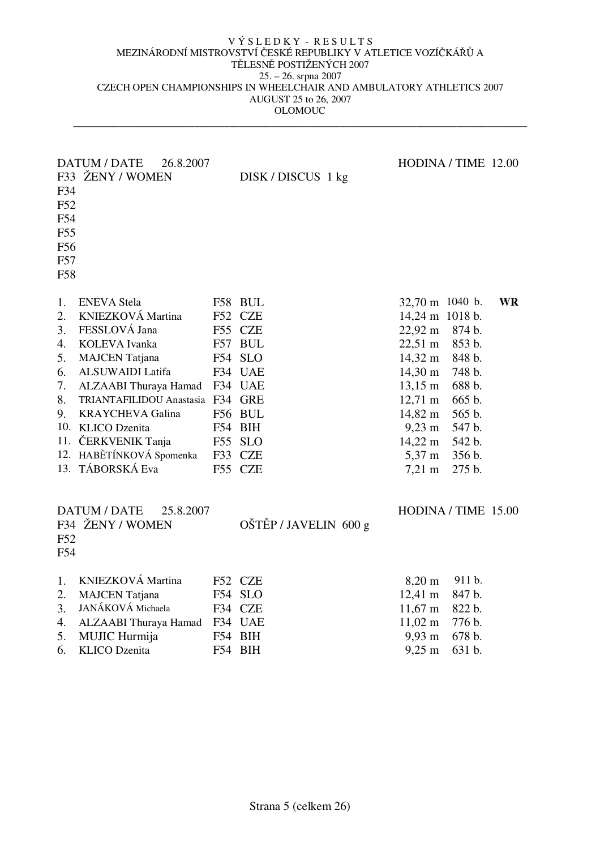| F34<br>F52<br>F54<br>F55<br>F56<br>F57<br>F58      | DATUM / DATE<br>26.8.2007<br>F33 ŽENY / WOMEN                                                                                                                                                                                                                                                              |     | DISK/DISCUS 1 kg                                                                                                                    | HODINA / TIME 12.00                                                                                                                                                                                                                                                            |                                                                                                            |           |
|----------------------------------------------------|------------------------------------------------------------------------------------------------------------------------------------------------------------------------------------------------------------------------------------------------------------------------------------------------------------|-----|-------------------------------------------------------------------------------------------------------------------------------------|--------------------------------------------------------------------------------------------------------------------------------------------------------------------------------------------------------------------------------------------------------------------------------|------------------------------------------------------------------------------------------------------------|-----------|
| 1.<br>2.<br>3.<br>4.<br>5.<br>6.<br>7.<br>8.<br>9. | <b>ENEVA</b> Stela<br>KNIEZKOVÁ Martina<br>FESSLOVÁ Jana<br>KOLEVA Ivanka<br><b>MAJCEN</b> Tatjana<br>ALSUWAIDI Latifa<br>ALZAABI Thuraya Hamad<br>TRIANTAFILIDOU Anastasia F34 GRE<br><b>KRAYCHEVA Galina</b><br>10. KLICO Dzenita<br>11. ČERKVENIK Tanja<br>12. HABĚTÍNKOVÁ Spomenka<br>13. TÁBORSKÁ Eva | F57 | F58 BUL<br>F52 CZE<br>F55 CZE<br><b>BUL</b><br>F54 SLO<br>F34 UAE<br>F34 UAE<br>F56 BUL<br>F54 BIH<br>F55 SLO<br>F33 CZE<br>F55 CZE | 32,70 m 1040 b.<br>14,24 m 1018 b.<br>$22,92 \text{ m}$<br>$22,51 \text{ m}$<br>$14,32 \; \text{m}$<br>$14,30 \; \mathrm{m}$<br>$13,15 \; \text{m}$<br>$12,71 \; \text{m}$<br>14,82 m<br>$9,23 \; \text{m}$<br>$14,22 \; \text{m}$<br>$5,37 \; \text{m}$<br>$7,21 \; \text{m}$ | 874 b.<br>853 b.<br>848 b.<br>748 b.<br>688 b.<br>665 b.<br>565 b.<br>547 b.<br>542 b.<br>356 b.<br>275 b. | <b>WR</b> |
| F52<br>F54                                         | DATUM / DATE<br>25.8.2007<br>F34 ŽENY / WOMEN                                                                                                                                                                                                                                                              |     | OŠTĚP / JAVELIN 600 g                                                                                                               | HODINA / TIME 15.00                                                                                                                                                                                                                                                            |                                                                                                            |           |
| 1.<br>2.<br>3.<br>4.<br>5.<br>6.                   | KNIEZKOVÁ Martina<br><b>MAJCEN</b> Tatjana<br>JANÁKOVÁ Michaela<br>ALZAABI Thuraya Hamad F34 UAE<br>MUJIC Hurmija<br><b>KLICO</b> Dzenita                                                                                                                                                                  | F54 | F52 CZE<br>F54 SLO<br>F34 CZE<br>BIH<br>F54 BIH                                                                                     | $8,20 \; \rm{m}$<br>$12,41 \text{ m}$<br>$11,67 \; \text{m}$<br>$11,02 \; \text{m}$<br>$9,93 \; \mathrm{m}$<br>$9,25 \; \text{m}$                                                                                                                                              | 911 b.<br>847 b.<br>822 b.<br>776 b.<br>678 b.<br>631 b.                                                   |           |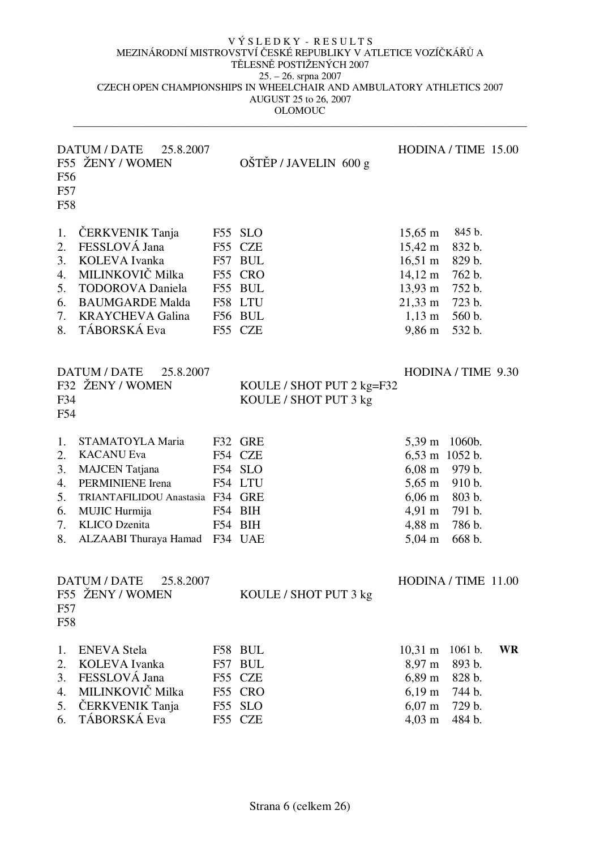| F56<br>F57<br>F58                            | DATUM / DATE<br>25.8.2007<br>F55 ŽENY / WOMEN                                                                                                                                                    | OŠTĚP / JAVELIN 600 g                                                                |                                                                                                                                                                                | HODINA / TIME 15.00                                                          |           |
|----------------------------------------------|--------------------------------------------------------------------------------------------------------------------------------------------------------------------------------------------------|--------------------------------------------------------------------------------------|--------------------------------------------------------------------------------------------------------------------------------------------------------------------------------|------------------------------------------------------------------------------|-----------|
| 1.<br>2.<br>3.<br>4.<br>5.<br>6.<br>7.<br>8. | ČERKVENIK Tanja<br>FESSLOVÁ Jana<br>KOLEVA Ivanka<br>MILINKOVIČ Milka<br><b>TODOROVA</b> Daniela<br><b>BAUMGARDE Malda</b><br><b>KRAYCHEVA Galina</b><br>TÁBORSKÁ Eva                            | F55 SLO<br>F55 CZE<br>F57 BUL<br>F55 CRO<br>F55 BUL<br>F58 LTU<br>F56 BUL<br>F55 CZE | $15,65 \; \text{m}$<br>$15,42 \text{ m}$<br>$16,51 \; \text{m}$<br>$14,12 \; \text{m}$<br>$13,93 \; \text{m}$<br>$21,33 \; \text{m}$<br>$1,13 \; \text{m}$<br>$9,86 \text{ m}$ | 845 b.<br>832 b.<br>829 b.<br>762 b.<br>752 b.<br>723 b.<br>560 b.<br>532 b. |           |
| F34<br>F54                                   | DATUM / DATE<br>25.8.2007<br>F32 ŽENY / WOMEN                                                                                                                                                    | KOULE / SHOT PUT 2 kg=F32<br>KOULE / SHOT PUT 3 kg                                   |                                                                                                                                                                                | HODINA / TIME 9.30                                                           |           |
| 1.<br>2.<br>3.<br>4.<br>5.<br>6.<br>7.<br>8. | STAMATOYLA Maria<br><b>KACANU Eva</b><br><b>MAJCEN</b> Tatjana<br>PERMINIENE Irena<br>TRIANTAFILIDOU Anastasia F34 GRE<br>MUJIC Hurmija<br><b>KLICO</b> Dzenita<br>ALZAABI Thuraya Hamad F34 UAE | F32 GRE<br>F54 CZE<br>F54 SLO<br>F54 LTU<br>F54 BIH<br>F54 BIH                       | $5,39 \text{ m}$<br>6,53 m 1052 b.<br>$6,08 \text{ m}$ 979 b.<br>$5,65 \; \mathrm{m}$<br>$6,06 \; \mathrm{m}$<br>$4,91 \text{ m}$<br>4,88 m<br>$5,04 \; \mathrm{m}$            | 1060b.<br>910 b.<br>803 b.<br>791 b.<br>786 b.<br>668 b.                     |           |
| F57<br>F58                                   | 25.8.2007<br><b>DATUM / DATE</b><br>F55 ZENY / WOMEN                                                                                                                                             | KOULE / SHOT PUT 3 kg                                                                |                                                                                                                                                                                | HODINA / TIME 11.00                                                          |           |
| 1.<br>2.<br>3.<br>4.<br>5.<br>6.             | <b>ENEVA</b> Stela<br>KOLEVA Ivanka<br>FESSLOVÁ Jana<br>MILINKOVIČ Milka<br>ČERKVENIK Tanja<br>TÁBORSKÁ Eva                                                                                      | F58 BUL<br>F57 BUL<br>F55 CZE<br>F55 CRO<br>F55 SLO<br>F55 CZE                       | $10,31 \; \text{m}$<br>8,97 m<br>$6,89 \; \mathrm{m}$<br>$6,19 \; \rm{m}$<br>$6,07 \; \mathrm{m}$<br>$4,03 \; \text{m}$                                                        | 1061 b.<br>893 b.<br>828 b.<br>744 b.<br>729 b.<br>484 b.                    | <b>WR</b> |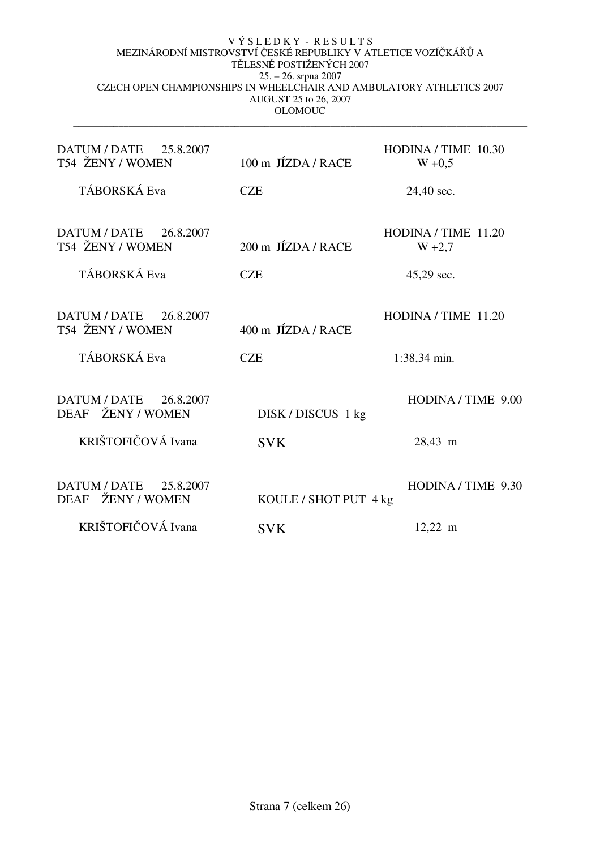| DATUM / DATE 25.8.2007<br>T54 ŽENY / WOMEN                 | 100 m JÍZDA / RACE               | HODINA / TIME 10.30<br>$W + 0.5$    |
|------------------------------------------------------------|----------------------------------|-------------------------------------|
| TÁBORSKÁ Eva                                               | <b>CZE</b>                       | 24,40 sec.                          |
| DATUM / DATE 26.8.2007<br>T54 ŽENY / WOMEN                 | 200 m JÍZDA / RACE               | HODINA / TIME 11.20<br>$W + 2,7$    |
| TÁBORSKÁ Eva                                               | <b>CZE</b>                       | 45,29 sec.                          |
| DATUM / DATE 26.8.2007<br>T54 ŽENY / WOMEN<br>TÁBORSKÁ Eva | 400 m JÍZDA / RACE<br><b>CZE</b> | HODINA / TIME 11.20<br>1:38,34 min. |
| DATUM / DATE 26.8.2007<br>DEAF ŽENY / WOMEN                | DISK/DISCUS 1 kg                 | HODINA / TIME 9.00                  |
| KRIŠTOFIČOVÁ Ivana                                         | <b>SVK</b>                       | 28,43 m                             |
| DATUM / DATE 25.8.2007<br>DEAF ŽENY / WOMEN                | KOULE / SHOT PUT 4 kg            | HODINA / TIME 9.30                  |
| KRIŠTOFIČOVÁ Ivana                                         | <b>SVK</b>                       | $12,22 \; \text{m}$                 |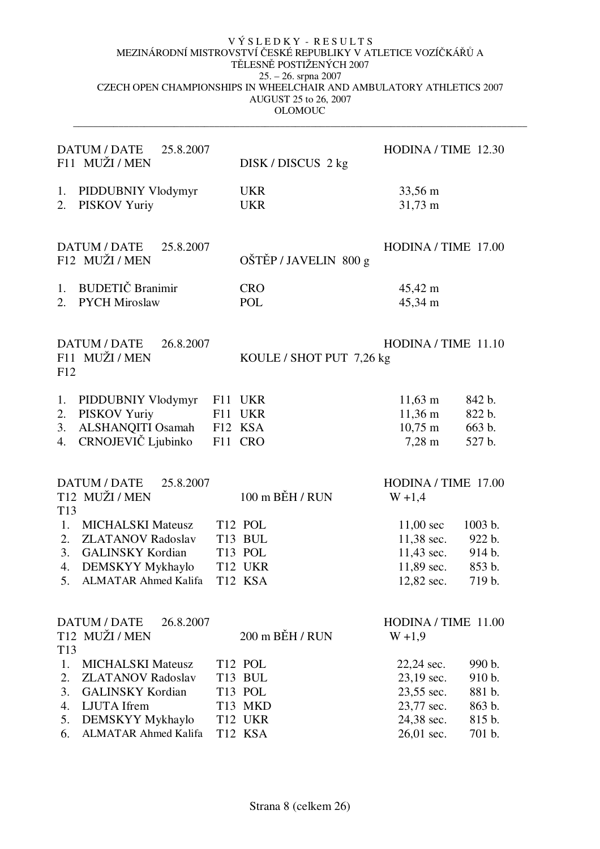|                                               | DATUM / DATE<br>25.8.2007<br>F11 MUŽI / MEN                                                                                                       |            | DISK/DISCUS 2 kg                                                                                   | HODINA / TIME 12.30                                                                       |                                                          |
|-----------------------------------------------|---------------------------------------------------------------------------------------------------------------------------------------------------|------------|----------------------------------------------------------------------------------------------------|-------------------------------------------------------------------------------------------|----------------------------------------------------------|
| 1.<br>2.                                      | PIDDUBNIY Vlodymyr<br>PISKOV Yuriy                                                                                                                |            | <b>UKR</b><br><b>UKR</b>                                                                           | 33,56 m<br>$31,73 \text{ m}$                                                              |                                                          |
|                                               | <b>DATUM / DATE</b><br>25.8.2007<br>F12 MUŽI / MEN                                                                                                |            | OŠTĚP / JAVELIN 800 g                                                                              | HODINA / TIME 17.00                                                                       |                                                          |
| 1.<br>2.                                      | <b>BUDETIČ</b> Branimir<br><b>PYCH Miroslaw</b>                                                                                                   |            | <b>CRO</b><br>POL                                                                                  | 45,42 m<br>45,34 m                                                                        |                                                          |
| F12                                           | <b>DATUM / DATE</b><br>26.8.2007<br>F11 MUŽI / MEN                                                                                                |            | KOULE / SHOT PUT 7,26 kg                                                                           | HODINA / TIME 11.10                                                                       |                                                          |
| 1.<br>2.<br>3.<br>4.                          | PIDDUBNIY Vlodymyr<br>PISKOV Yuriy<br>ALSHANQITI Osamah<br>CRNOJEVIČ Ljubinko                                                                     | F11<br>F11 | UKR<br>UKR<br>F12 KSA<br>F11 CRO                                                                   | $11,63 \; \text{m}$<br>$11,36 \; \text{m}$<br>$10,75 \; \text{m}$<br>$7,28 \; \mathrm{m}$ | 842 b.<br>822 b.<br>663 b.<br>527 b.                     |
|                                               | <b>DATUM / DATE</b><br>25.8.2007<br>T <sub>12</sub> MUŽI / MEN                                                                                    |            | 100 m BĚH / RUN                                                                                    | HODINA / TIME 17.00<br>$W + 1,4$                                                          |                                                          |
| T <sub>13</sub><br>1.<br>2.<br>3.<br>4.<br>5. | <b>MICHALSKI Mateusz</b><br><b>ZLATANOV Radoslav</b><br><b>GALINSKY Kordian</b><br>DEMSKYY Mykhaylo<br><b>ALMATAR Ahmed Kalifa</b>                |            | T12 POL<br>T <sub>13</sub> BUL<br>T13 POL<br>T12 UKR<br>T12 KSA                                    | $11,00 \text{ sec}$<br>11,38 sec.<br>$11,43$ sec.<br>11,89 sec.<br>12,82 sec.             | 1003 b.<br>922 b.<br>914 b.<br>853 b.<br>719 b.          |
| T <sub>13</sub>                               | <b>DATUM / DATE</b><br>26.8.2007<br>T <sub>12</sub> MUŽI / MEN                                                                                    |            | 200 m BĚH / RUN                                                                                    | HODINA / TIME 11.00<br>$W + 1,9$                                                          |                                                          |
| 1.<br>2.<br>3.<br>4.<br>5.<br>6.              | <b>MICHALSKI Mateusz</b><br><b>ZLATANOV Radoslav</b><br><b>GALINSKY Kordian</b><br>LJUTA Ifrem<br>DEMSKYY Mykhaylo<br><b>ALMATAR Ahmed Kalifa</b> |            | T <sub>12</sub> POL<br>T <sub>13</sub> BUL<br>T13 POL<br>T13 MKD<br>T <sub>12</sub> UKR<br>T12 KSA | 22,24 sec.<br>23,19 sec.<br>23,55 sec.<br>23,77 sec.<br>24,38 sec.<br>26,01 sec.          | 990 b.<br>910 b.<br>881 b.<br>863 b.<br>815 b.<br>701 b. |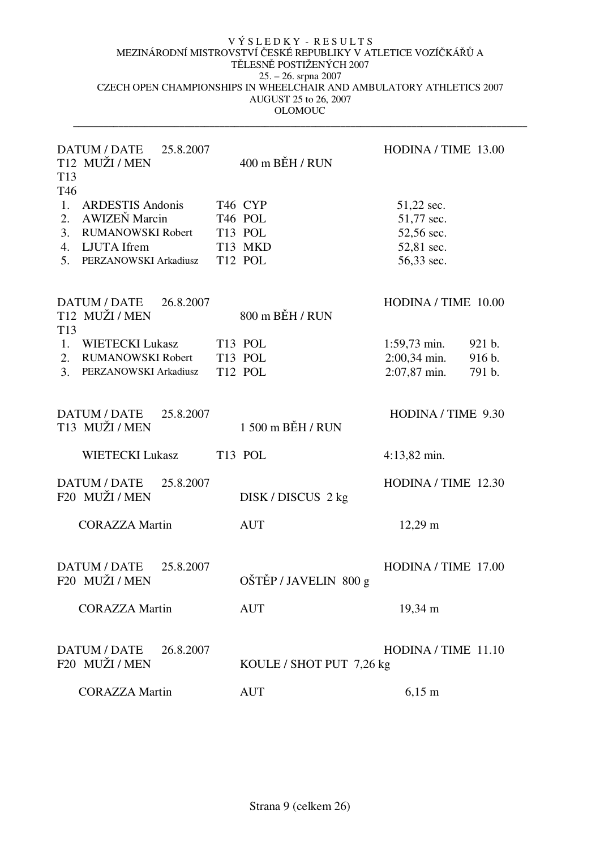| <b>DATUM / DATE</b><br>25.8.2007<br>T12 MUŽI / MEN<br>T <sub>13</sub><br>T46                                                                   | $400 \text{ m}$ BĚH / RUN                                                   | HODINA / TIME 13.00                                                                      |
|------------------------------------------------------------------------------------------------------------------------------------------------|-----------------------------------------------------------------------------|------------------------------------------------------------------------------------------|
| 1.<br><b>ARDESTIS Andonis</b><br><b>AWIZEŇ Marcin</b><br>2.<br>3.<br><b>RUMANOWSKI Robert</b><br>4. LJUTA Ifrem<br>PERZANOWSKI Arkadiusz<br>5. | T46 CYP<br>T <sub>46</sub> POL<br>T13 POL<br>T13 MKD<br>T <sub>12</sub> POL | 51,22 sec.<br>51,77 sec.<br>52,56 sec.<br>52,81 sec.<br>56,33 sec.                       |
| DATUM / DATE<br>26.8.2007<br>T <sub>12</sub> MUŽI / MEN<br>T <sub>13</sub>                                                                     | 800 m BĚH / RUN                                                             | HODINA / TIME 10.00                                                                      |
| 1. WIETECKI Lukasz<br>2. RUMANOWSKI Robert<br>3.<br>PERZANOWSKI Arkadiusz                                                                      | T13 POL<br>T <sub>13</sub> POL<br>T <sub>12</sub> POL                       | $1:59,73$ min.<br>921 b.<br>$2:00,34 \text{ min.}$<br>916 b.<br>$2:07,87$ min.<br>791 b. |
| DATUM / DATE 25.8.2007<br>T <sub>13</sub> MUŽI / MEN                                                                                           | 1 500 m BĚH / RUN                                                           | HODINA / TIME 9.30                                                                       |
| <b>WIETECKI Lukasz</b>                                                                                                                         | T <sub>13</sub> POL                                                         | 4:13,82 min.                                                                             |
| <b>DATUM / DATE</b><br>25.8.2007<br>F20 MUŽI / MEN                                                                                             | DISK/DISCUS 2 kg                                                            | HODINA / TIME 12.30                                                                      |
| <b>CORAZZA Martin</b>                                                                                                                          | <b>AUT</b>                                                                  | $12,29 \text{ m}$                                                                        |
| <b>DATUM / DATE</b><br>25.8.2007<br>F20 MUŽI / MEN                                                                                             | OŠTĚP / JAVELIN 800 g                                                       | HODINA / TIME 17.00                                                                      |
| <b>CORAZZA Martin</b>                                                                                                                          | <b>AUT</b>                                                                  | 19,34 m                                                                                  |
| DATUM / DATE<br>26.8.2007<br>F20 MUŽI / MEN                                                                                                    | KOULE / SHOT PUT 7,26 kg                                                    | HODINA / TIME 11.10                                                                      |
| <b>CORAZZA Martin</b>                                                                                                                          | <b>AUT</b>                                                                  | $6,15 \text{ m}$                                                                         |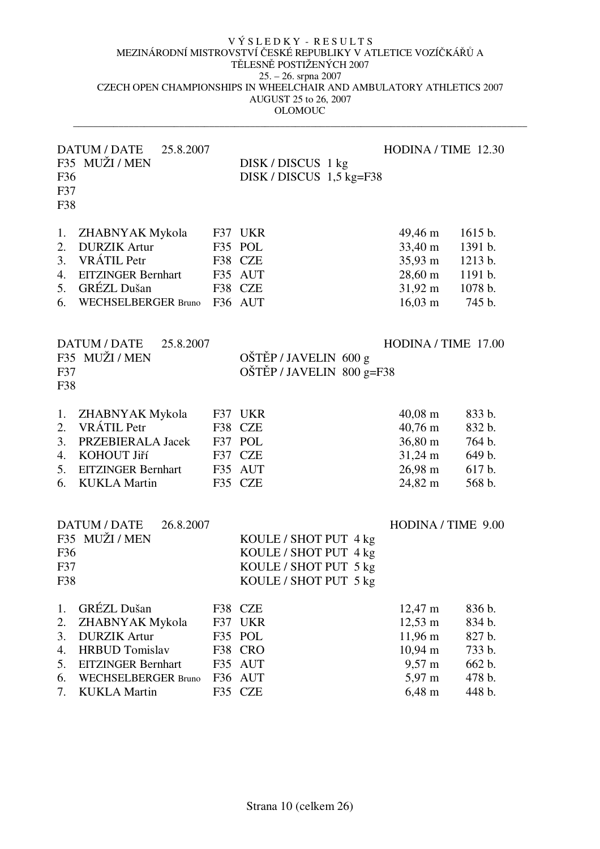| F36<br>F37<br>F38                      | <b>DATUM / DATE</b><br>25.8.2007<br>F35 MUŽI / MEN                                                                                                                      |                   | DISK/DISCUS 1 kg<br>DISK / DISCUS 1,5 kg=F38                                                     | HODINA / TIME 12.30                                                                                                |                                                                    |
|----------------------------------------|-------------------------------------------------------------------------------------------------------------------------------------------------------------------------|-------------------|--------------------------------------------------------------------------------------------------|--------------------------------------------------------------------------------------------------------------------|--------------------------------------------------------------------|
| 1.<br>2.<br>3.<br>4.<br>5.<br>6.       | ZHABNYAK Mykola<br><b>DURZIK Artur</b><br>VRÁTIL Petr<br><b>EITZINGER Bernhart</b><br><b>GRÉZL Dušan</b><br><b>WECHSELBERGER Bruno</b>                                  |                   | F37 UKR<br>F35 POL<br>F38 CZE<br>F35 AUT<br>F38 CZE<br>F36 AUT                                   | 49,46 m<br>33,40 m<br>$35,93 \text{ m}$<br>28,60 m<br>$31,92 \text{ m}$<br>$16,03 \; \text{m}$                     | 1615 b.<br>1391 b.<br>1213 b.<br>1191 b.<br>1078 b.<br>745 b.      |
| F37<br>F38                             | DATUM / DATE<br>25.8.2007<br>F35 MUŽI / MEN                                                                                                                             |                   | OŠTĚP / JAVELIN 600 g<br>$OŠTÉP / JAVELIN 800 g = F38$                                           | HODINA / TIME 17.00                                                                                                |                                                                    |
| 1.<br>2.<br>3.<br>4.<br>5.<br>6.       | ZHABNYAK Mykola<br><b>VRÁTIL Petr</b><br>PRZEBIERALA Jacek<br>KOHOUT Jiří<br><b>EITZINGER Bernhart</b><br><b>KUKLA Martin</b>                                           |                   | F37 UKR<br>F38 CZE<br>F37 POL<br>F37 CZE<br>F35 AUT<br>F35 CZE                                   | $40,08 \; \mathrm{m}$<br>$40,76 \; \mathrm{m}$<br>36,80 m<br>$31,24 \text{ m}$<br>$26,98 \; \mathrm{m}$<br>24,82 m | 833 b.<br>832 b.<br>764 b.<br>649 b.<br>617 b.<br>568 b.           |
| F36<br>F37<br>F38                      | DATUM / DATE<br>26.8.2007<br>F35 MUŽI / MEN                                                                                                                             |                   | KOULE / SHOT PUT 4 kg<br>KOULE / SHOT PUT 4 kg<br>KOULE / SHOT PUT 5 kg<br>KOULE / SHOT PUT 5 kg | HODINA / TIME 9.00                                                                                                 |                                                                    |
| 1.<br>2.<br>3.<br>4.<br>5.<br>6.<br>7. | <b>GRÉZL Dušan</b><br>ZHABNYAK Mykola<br><b>DURZIK Artur</b><br><b>HRBUD</b> Tomislav<br><b>EITZINGER Bernhart</b><br><b>WECHSELBERGER Bruno</b><br><b>KUKLA Martin</b> | F35<br>F36<br>F35 | F38 CZE<br>F37 UKR<br>F35 POL<br>F38 CRO<br><b>AUT</b><br><b>AUT</b><br><b>CZE</b>               | 12,47 m<br>$12,53 \; \text{m}$<br>11,96 m<br>$10,94 \text{ m}$<br>9,57 m<br>5,97 m<br>6,48 m                       | 836 b.<br>834 b.<br>827 b.<br>733 b.<br>662 b.<br>478 b.<br>448 b. |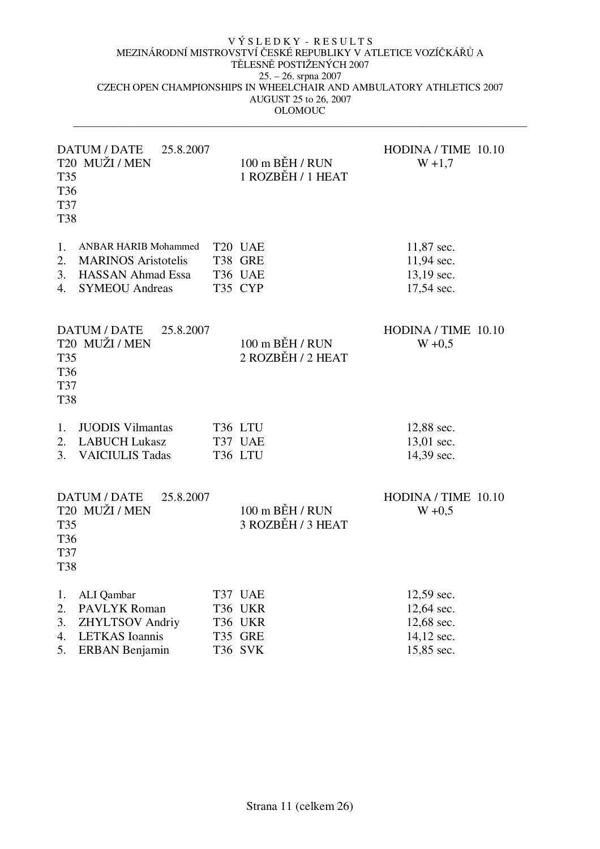| <b>T35</b><br>T36<br>T37<br><b>T38</b> | DATUM / DATE<br>25.8.2007<br>T20 MUŽI / MEN | 100 m BĚH / RUN<br>1 ROZBĚH / 1 HEAT     | HODINA / TIME 10.10<br>$W + 1,7$ |
|----------------------------------------|---------------------------------------------|------------------------------------------|----------------------------------|
| 1.                                     | <b>ANBAR HARIB Mohammed</b>                 | T20 UAE                                  | 11,87 sec.                       |
| 2.                                     | <b>MARINOS Aristotelis</b>                  | T38 GRE                                  | 11,94 sec.                       |
| 3.                                     | <b>HASSAN Ahmad Essa</b>                    | T36 UAE                                  | 13,19 sec.                       |
| 4.                                     | <b>SYMEOU Andreas</b>                       | T35 CYP                                  | 17,54 sec.                       |
| T35<br>T36<br>T37<br><b>T38</b>        | DATUM / DATE<br>25.8.2007<br>T20 MUŽI / MEN | $100$ m $BEH / RUN$<br>2 ROZBĚH / 2 HEAT | HODINA / TIME 10.10<br>$W + 0,5$ |
| 1.                                     | <b>JUODIS Vilmantas</b>                     | T36 LTU                                  | 12,88 sec.                       |
| 2.                                     | <b>LABUCH Lukasz</b>                        | T37 UAE                                  | 13,01 sec.                       |
| 3.                                     | <b>VAICIULIS Tadas</b>                      | T36 LTU                                  | 14,39 sec.                       |
| <b>T35</b><br>T36<br>T37<br><b>T38</b> | DATUM / DATE<br>25.8.2007<br>T20 MUŽI / MEN | 100 m BĚH / RUN<br>3 ROZBĚH / 3 HEAT     | HODINA / TIME 10.10<br>$W + 0,5$ |
| 1.                                     | ALI Qambar                                  | T37 UAE                                  | 12,59 sec.                       |
| 2.                                     | PAVLYK Roman                                | T36 UKR                                  | 12,64 sec.                       |
| 3.                                     | <b>ZHYLTSOV Andriy</b>                      | T36 UKR                                  | 12,68 sec.                       |
| 4.                                     | <b>LETKAS</b> Ioannis                       | T35 GRE                                  | 14,12 sec.                       |
| 5.                                     | <b>ERBAN</b> Benjamin                       | T36 SVK                                  | 15,85 sec.                       |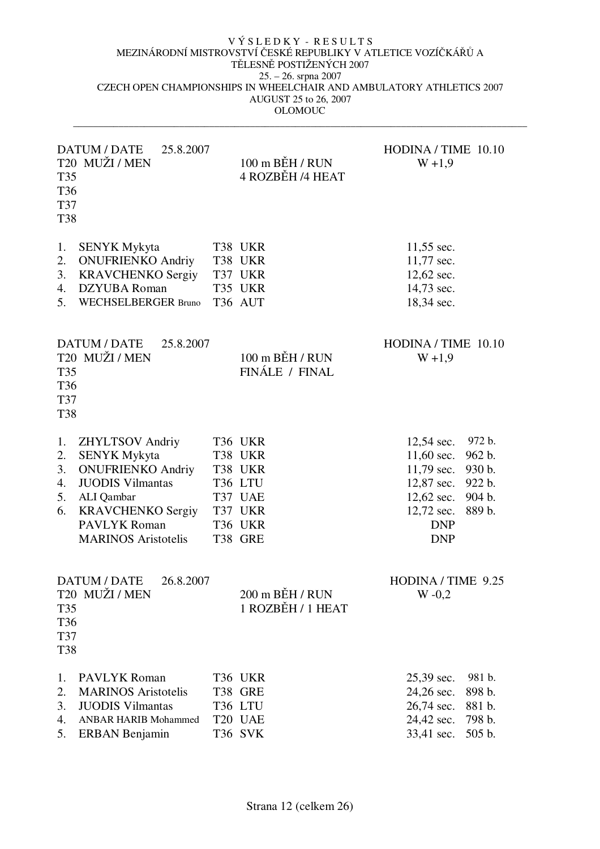| T35<br>T36<br><b>T37</b><br><b>T38</b> | DATUM / DATE<br>25.8.2007<br>T <sub>20</sub> MUŽI / MEN                                                                                                                                             | $100 \text{ m}$ BEH / RUN<br>4 ROZBĚH /4 HEAT                                        | HODINA / TIME 10.10<br>$W + 1,9$                                                                                     |                                                          |
|----------------------------------------|-----------------------------------------------------------------------------------------------------------------------------------------------------------------------------------------------------|--------------------------------------------------------------------------------------|----------------------------------------------------------------------------------------------------------------------|----------------------------------------------------------|
| 1.<br>2.<br>3.<br>4.<br>5.             | <b>SENYK Mykyta</b><br><b>ONUFRIENKO Andriy</b><br><b>KRAVCHENKO Sergiy</b><br><b>DZYUBA</b> Roman<br><b>WECHSELBERGER Bruno</b>                                                                    | T38 UKR<br>T38 UKR<br>T37 UKR<br>T35 UKR<br>T36 AUT                                  | 11,55 sec.<br>11,77 sec.<br>12,62 sec.<br>14,73 sec.<br>18,34 sec.                                                   |                                                          |
| T35<br>T36<br>T37<br><b>T38</b>        | DATUM / DATE<br>25.8.2007<br>T20 MUŽI / MEN                                                                                                                                                         | $100$ m $B$ EH / RUN<br>FINÁLE / FINAL                                               | HODINA / TIME 10.10<br>$W + 1,9$                                                                                     |                                                          |
| 1.<br>2.<br>3.<br>4.<br>5.<br>6.       | <b>ZHYLTSOV Andriy</b><br><b>SENYK Mykyta</b><br><b>ONUFRIENKO Andriy</b><br><b>JUODIS Vilmantas</b><br>ALI Qambar<br><b>KRAVCHENKO Sergiy</b><br><b>PAVLYK Roman</b><br><b>MARINOS</b> Aristotelis | T36 UKR<br>T38 UKR<br>T38 UKR<br>T36 LTU<br>T37 UAE<br>T37 UKR<br>T36 UKR<br>T38 GRE | $12,54$ sec.<br>$11,60$ sec.<br>$11,79$ sec.<br>12,87 sec.<br>$12,62$ sec.<br>12,72 sec.<br><b>DNP</b><br><b>DNP</b> | 972 b.<br>962 b.<br>930 b.<br>922 b.<br>904 b.<br>889 b. |
| T35<br>T36<br>T37<br><b>T38</b>        | DATUM / DATE<br>26.8.2007<br>T20 MUŽI / MEN                                                                                                                                                         | 200 m BĚH / RUN<br>1 ROZBĚH / 1 HEAT                                                 | HODINA / TIME 9.25<br>$W - 0,2$                                                                                      |                                                          |
| 1.<br>2.<br>3.<br>4.<br>5.             | <b>PAVLYK Roman</b><br><b>MARINOS</b> Aristotelis<br><b>JUODIS Vilmantas</b><br><b>ANBAR HARIB Mohammed</b><br><b>ERBAN</b> Benjamin                                                                | T36 UKR<br>T38 GRE<br>T36 LTU<br>T20 UAE<br>T36 SVK                                  | 25,39 sec.<br>24,26 sec.<br>26,74 sec.<br>24,42 sec.<br>33,41 sec.                                                   | 981 b.<br>898 b.<br>881 b.<br>798 b.<br>505 b.           |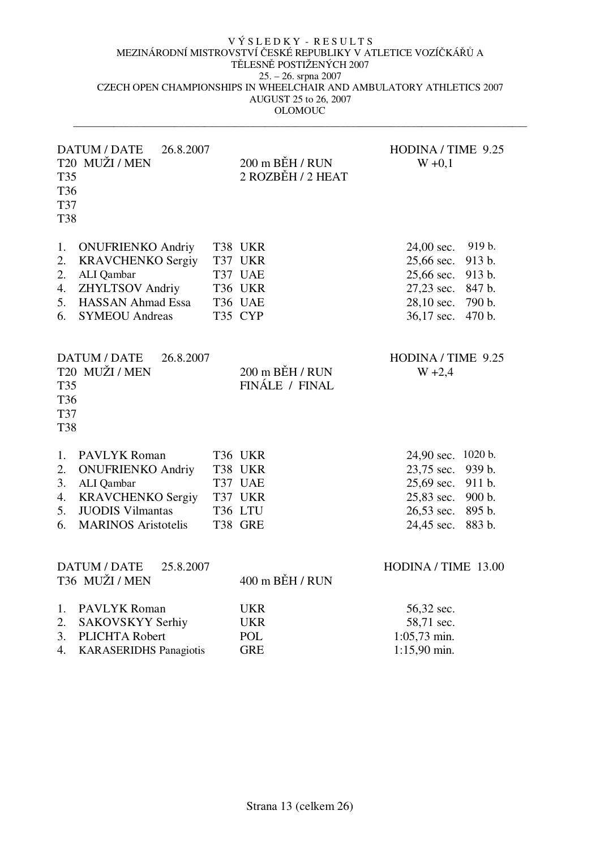| T35<br>T36<br>T37<br><b>T38</b>               | DATUM / DATE<br>26.8.2007<br>T20 MUŽI / MEN                                                                                                        | 200 m BĚH / RUN<br>2 ROZBĚH / 2 HEAT                           | HODINA / TIME 9.25<br>$W + 0,1$                                                                                                              |
|-----------------------------------------------|----------------------------------------------------------------------------------------------------------------------------------------------------|----------------------------------------------------------------|----------------------------------------------------------------------------------------------------------------------------------------------|
| 1.<br>2.<br>2.<br>4.<br>5.<br>6.              | <b>ONUFRIENKO Andriy</b><br><b>KRAVCHENKO Sergiy</b><br>ALI Qambar<br><b>ZHYLTSOV Andriy</b><br><b>HASSAN Ahmad Essa</b><br><b>SYMEOU Andreas</b>  | T38 UKR<br>T37 UKR<br>T37 UAE<br>T36 UKR<br>T36 UAE<br>T35 CYP | 919 b.<br>24,00 sec.<br>25,66 sec.<br>913 b.<br>25,66 sec.<br>913 b.<br>27,23 sec.<br>847 b.<br>28,10 sec.<br>790 b.<br>36,17 sec.<br>470 b. |
| <b>T35</b><br>T36<br><b>T37</b><br><b>T38</b> | DATUM / DATE<br>26.8.2007<br>T <sub>20</sub> MUŽI / MEN                                                                                            | 200 m BĚH / RUN<br>FINÁLE / FINAL                              | HODINA / TIME 9.25<br>$W + 2,4$                                                                                                              |
| 1.<br>2.<br>3.<br>4.<br>5.<br>6.              | <b>PAVLYK Roman</b><br><b>ONUFRIENKO Andriy</b><br>ALI Qambar<br><b>KRAVCHENKO Sergiy</b><br><b>JUODIS Vilmantas</b><br><b>MARINOS Aristotelis</b> | T36 UKR<br>T38 UKR<br>T37 UAE<br>T37 UKR<br>T36 LTU<br>T38 GRE | 24,90 sec. 1020 b.<br>23,75 sec.<br>939 b.<br>25,69 sec.<br>911 b.<br>25,83 sec.<br>900 b.<br>26,53 sec.<br>895 b.<br>24,45 sec.<br>883 b.   |
|                                               | DATUM / DATE<br>25.8.2007<br>T36 MUŽI / MEN                                                                                                        | 400 m BĚH / RUN                                                | HODINA / TIME 13.00                                                                                                                          |
| 1.<br>2.<br>3.<br>4.                          | <b>PAVLYK Roman</b><br>SAKOVSKYY Serhiy<br>PLICHTA Robert<br><b>KARASERIDHS Panagiotis</b>                                                         | <b>UKR</b><br><b>UKR</b><br>POL<br><b>GRE</b>                  | 56,32 sec.<br>58,71 sec.<br>$1:05,73$ min.<br>1:15,90 min.                                                                                   |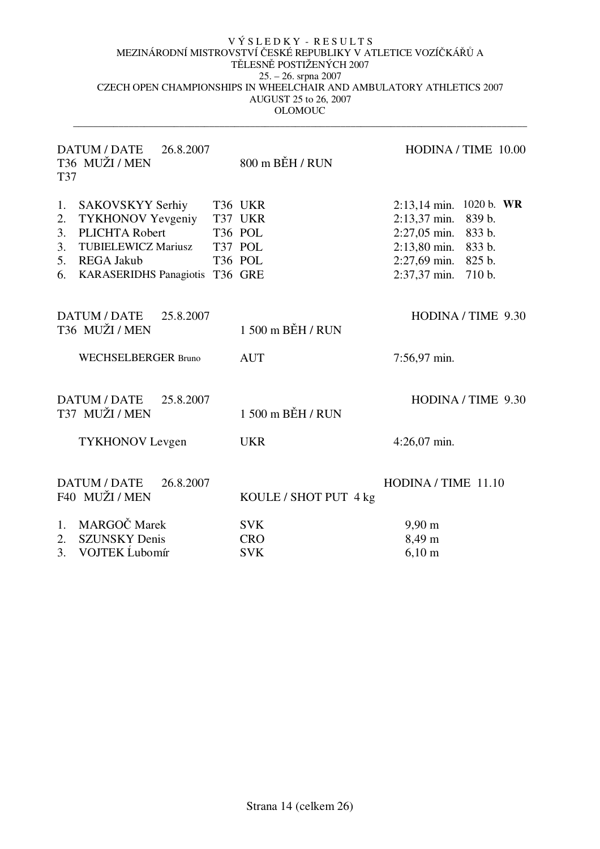| <b>DATUM / DATE</b><br>26.8.2007<br>T36 MUŽI / MEN<br>T37                                                                                                           | 800 m BĚH / RUN                                                             | HODINA / TIME 10.00                                                                                                                        |
|---------------------------------------------------------------------------------------------------------------------------------------------------------------------|-----------------------------------------------------------------------------|--------------------------------------------------------------------------------------------------------------------------------------------|
| SAKOVSKYY Serhiy<br>1.<br><b>TYKHONOV Yevgeniy</b><br>2.<br>PLICHTA Robert<br>3.<br>3. TUBIELEWICZ Mariusz<br>5. REGA Jakub<br>KARASERIDHS Panagiotis T36 GRE<br>6. | T36 UKR<br>T37 UKR<br>T <sub>36</sub> POL<br>T37 POL<br>T <sub>36</sub> POL | 2:13,14 min. 1020 b. WR<br>2:13,37 min. 839 b.<br>2:27,05 min. 833 b.<br>2:13,80 min. 833 b.<br>2:27,69 min. 825 b.<br>2:37,37 min. 710 b. |
| DATUM / DATE<br>25.8.2007<br>T36 MUŽI / MEN                                                                                                                         | 1 500 m BĚH / RUN                                                           | HODINA / TIME 9.30                                                                                                                         |
| <b>WECHSELBERGER Bruno</b>                                                                                                                                          | <b>AUT</b>                                                                  | 7:56,97 min.                                                                                                                               |
| DATUM / DATE<br>25.8.2007<br>T37 MUŽI / MEN                                                                                                                         | 1 500 m BĚH / RUN                                                           | HODINA / TIME 9.30                                                                                                                         |
| <b>TYKHONOV</b> Levgen                                                                                                                                              | <b>UKR</b>                                                                  | $4:26,07$ min.                                                                                                                             |
| <b>DATUM / DATE</b><br>26.8.2007<br>F40 MUŽI / MEN                                                                                                                  | KOULE / SHOT PUT 4 kg                                                       | HODINA / TIME 11.10                                                                                                                        |
| MARGOČ Marek<br>1.<br><b>SZUNSKY Denis</b><br>2.<br>VOJTEK Lubomír<br>3.                                                                                            | <b>SVK</b><br><b>CRO</b><br><b>SVK</b>                                      | $9,90 \text{ m}$<br>8,49 m<br>$6,10 \; \rm{m}$                                                                                             |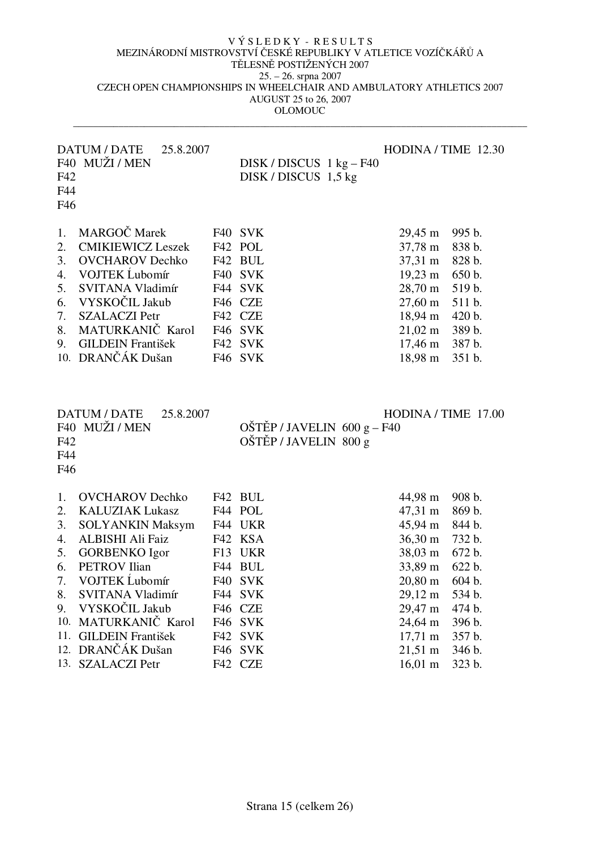| F42<br>F44<br>F46                                  | DATUM / DATE<br>25.8.2007<br>F40 MUŽI / MEN                                                                                                                                                                             | $DISK / DISCUS$ 1 kg – F40<br>DISK / DISCUS 1,5 kg                                                         |                                                                                                                                                                  | HODINA / TIME 12.30                                                                              |
|----------------------------------------------------|-------------------------------------------------------------------------------------------------------------------------------------------------------------------------------------------------------------------------|------------------------------------------------------------------------------------------------------------|------------------------------------------------------------------------------------------------------------------------------------------------------------------|--------------------------------------------------------------------------------------------------|
| 1.<br>2.<br>3.<br>4.<br>5.<br>6.<br>7.<br>8.<br>9. | MARGOČ Marek<br><b>CMIKIEWICZ Leszek</b><br><b>OVCHAROV</b> Dechko<br>VOJTEK Lubomír<br>SVITANA Vladimír<br>VYSKOČIL Jakub<br><b>SZALACZI Petr</b><br>MATURKANIČ Karol<br><b>GILDEIN František</b><br>10. DRANČÁK Dušan | F40 SVK<br>F42 POL<br>F42 BUL<br>F40 SVK<br>F44 SVK<br>F46 CZE<br>F42 CZE<br>F46 SVK<br>F42 SVK<br>F46 SVK | 29,45 m<br>37,78 m<br>$37,31 \text{ m}$<br>$19,23 \text{ m}$<br>28,70 m<br>$27,60 \text{ m}$<br>18,94 m<br>$21,02 \; \text{m}$<br>$17,46 \; \text{m}$<br>18,98 m | 995 b.<br>838 b.<br>828 b.<br>650 b.<br>519 b.<br>511 b.<br>420 b.<br>389 b.<br>387 b.<br>351 b. |
| F42<br>F44                                         | DATUM / DATE<br>25.8.2007<br>F40 MUŽI / MEN                                                                                                                                                                             | $OŠTÉP / JAVELIN 600 g - F40$<br>OŠTĚP / JAVELIN 800 g                                                     |                                                                                                                                                                  | HODINA / TIME 17.00                                                                              |
| F46                                                |                                                                                                                                                                                                                         |                                                                                                            |                                                                                                                                                                  |                                                                                                  |
| 1.                                                 | <b>OVCHAROV</b> Dechko                                                                                                                                                                                                  | F42 BUL                                                                                                    | 44,98 m                                                                                                                                                          | 908 b.                                                                                           |
| 2.                                                 | <b>KALUZIAK Lukasz</b>                                                                                                                                                                                                  | F44 POL                                                                                                    | 47,31 m                                                                                                                                                          | 869 b.                                                                                           |
| 3.                                                 | <b>SOLYANKIN Maksym</b>                                                                                                                                                                                                 | F44 UKR                                                                                                    | 45,94 m                                                                                                                                                          | 844 b.                                                                                           |
| 4.                                                 | ALBISHI Ali Faiz                                                                                                                                                                                                        | F42 KSA                                                                                                    | $36,30 \text{ m}$                                                                                                                                                | 732 b.                                                                                           |
| 5.                                                 | <b>GORBENKO</b> Igor                                                                                                                                                                                                    | F13 UKR                                                                                                    | 38,03 m                                                                                                                                                          | 672 b.                                                                                           |
| 6.                                                 | <b>PETROV</b> Ilian                                                                                                                                                                                                     | F44 BUL                                                                                                    | 33,89 m                                                                                                                                                          | 622 b.                                                                                           |
| 7.                                                 | VOJTEK Lubomír                                                                                                                                                                                                          | F40 SVK                                                                                                    | $20,80 \; \mathrm{m}$                                                                                                                                            | 604 b.                                                                                           |
| 8.                                                 | SVITANA Vladimír                                                                                                                                                                                                        | F44 SVK                                                                                                    | $29,12 \; \mathrm{m}$                                                                                                                                            | 534 b.                                                                                           |
| 9.                                                 | VYSKOČIL Jakub                                                                                                                                                                                                          | F46 CZE                                                                                                    | 29,47 m                                                                                                                                                          | 474 b.                                                                                           |
|                                                    | 10. MATURKANIČ Karol                                                                                                                                                                                                    | F46 SVK                                                                                                    | 24,64 m                                                                                                                                                          | 396 b.                                                                                           |
| 11.                                                | <b>GILDEIN František</b><br>12. DRANČÁK Dušan                                                                                                                                                                           | F42 SVK<br>F <sub>46</sub> SVK                                                                             | 17,71 m<br>$21,51 \text{ m}$                                                                                                                                     | 357 b.<br>346 b.                                                                                 |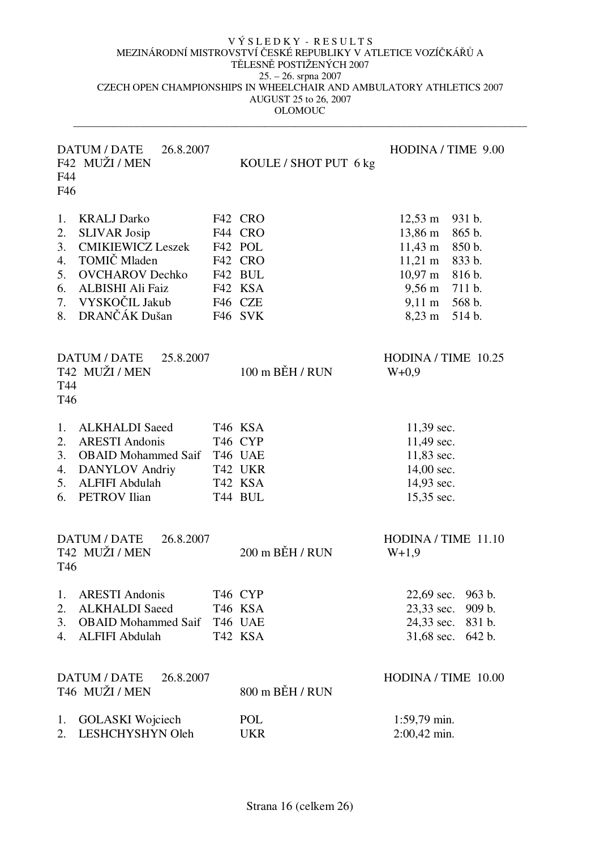| F44<br>F46                                   | DATUM / DATE<br>26.8.2007<br>F42 MUŽI / MEN                                                                                                                            | KOULE / SHOT PUT 6 kg                                                                | HODINA / TIME 9.00                                                                                                                                                                                                                                    |
|----------------------------------------------|------------------------------------------------------------------------------------------------------------------------------------------------------------------------|--------------------------------------------------------------------------------------|-------------------------------------------------------------------------------------------------------------------------------------------------------------------------------------------------------------------------------------------------------|
| 1.<br>2.<br>3.<br>4.<br>5.<br>6.<br>7.<br>8. | <b>KRALJ Darko</b><br><b>SLIVAR Josip</b><br><b>CMIKIEWICZ Leszek</b><br>TOMIČ Mladen<br><b>OVCHAROV</b> Dechko<br>ALBISHI Ali Faiz<br>VYSKOČIL Jakub<br>DRANČÁK Dušan | F42 CRO<br>F44 CRO<br>F42 POL<br>F42 CRO<br>F42 BUL<br>F42 KSA<br>F46 CZE<br>F46 SVK | $12,53 \; \text{m}$<br>931 b.<br>13,86 m<br>865 b.<br>$11,43 \; \text{m}$<br>850 b.<br>$11,21 \; \text{m}$<br>833 b.<br>$10,97 \; \mathrm{m}$<br>816 b.<br>$9,56 \text{ m}$<br>711 b.<br>$9,11 \text{ m}$<br>568 b.<br>$8,23 \; \mathrm{m}$<br>514 b. |
| T44<br>T46                                   | DATUM / DATE<br>25.8.2007<br>T42 MUŽI / MEN                                                                                                                            | $100$ m $B$ EH / RUN                                                                 | HODINA / TIME 10.25<br>$W+0,9$                                                                                                                                                                                                                        |
| 1.<br>2.<br>3.<br>4.<br>5.<br>6.             | <b>ALKHALDI</b> Saeed<br><b>ARESTI Andonis</b><br><b>OBAID</b> Mohammed Saif<br><b>DANYLOV</b> Andriy<br><b>ALFIFI Abdulah</b><br><b>PETROV</b> Ilian                  | T46 KSA<br>T46 CYP<br>T46 UAE<br>T42 UKR<br>T42 KSA<br>T44 BUL                       | 11,39 sec.<br>11,49 sec.<br>11,83 sec.<br>14,00 sec.<br>14,93 sec.<br>15,35 sec.                                                                                                                                                                      |
| T <sub>46</sub>                              | <b>DATUM / DATE</b><br>26.8.2007<br>T42 MUŽI / MEN                                                                                                                     | $200$ m $BEH/$ RUN                                                                   | HODINA / TIME 11.10<br>$W+1,9$                                                                                                                                                                                                                        |
| 1.<br>2.<br>3.<br>4.                         | <b>ARESTI Andonis</b><br><b>ALKHALDI</b> Saeed<br><b>OBAID</b> Mohammed Saif<br><b>ALFIFI Abdulah</b>                                                                  | T46 CYP<br>T46 KSA<br>T46 UAE<br>T42 KSA                                             | 22,69 sec.<br>963 b.<br>23,33 sec.<br>909 b.<br>24,33 sec. 831 b.<br>642 b.<br>31,68 sec.                                                                                                                                                             |
|                                              | DATUM / DATE<br>26.8.2007<br>T46 MUŽI / MEN                                                                                                                            | 800 m BĚH / RUN                                                                      | HODINA / TIME 10.00                                                                                                                                                                                                                                   |
| 1.<br>2.                                     | <b>GOLASKI</b> Wojciech<br>LESHCHYSHYN Oleh                                                                                                                            | POL<br><b>UKR</b>                                                                    | 1:59,79 min.<br>2:00,42 min.                                                                                                                                                                                                                          |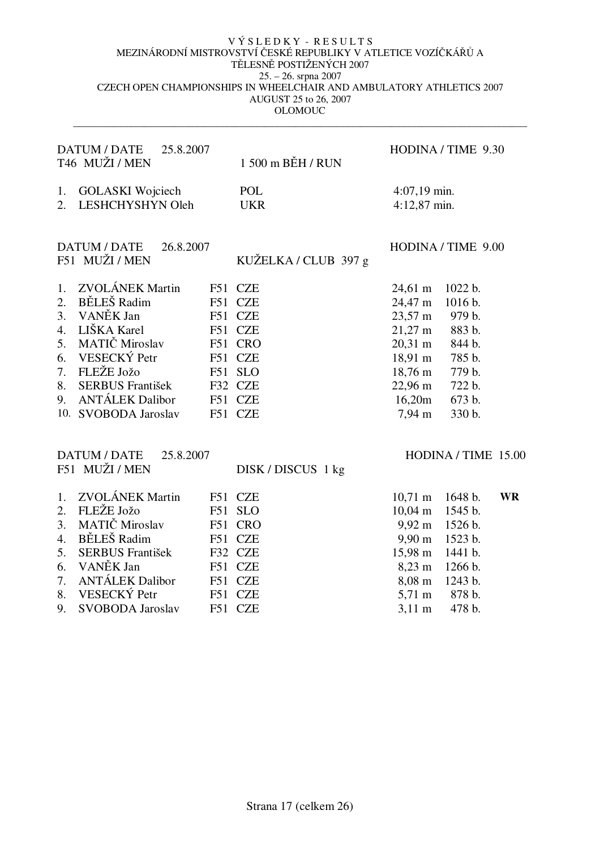| DATUM / DATE<br>25.8.2007<br>T46 MUŽI / MEN                                                                                                                                                                                                                                                                  | 1 500 m BĚH / RUN                                                                                                                  | HODINA / TIME 9.30                                                                                                                                                                                                                                                                                 |
|--------------------------------------------------------------------------------------------------------------------------------------------------------------------------------------------------------------------------------------------------------------------------------------------------------------|------------------------------------------------------------------------------------------------------------------------------------|----------------------------------------------------------------------------------------------------------------------------------------------------------------------------------------------------------------------------------------------------------------------------------------------------|
| <b>GOLASKI</b> Wojciech<br>1.<br>LESHCHYSHYN Oleh<br>2.                                                                                                                                                                                                                                                      | POL<br><b>UKR</b>                                                                                                                  | $4:07,19$ min.<br>4:12,87 min.                                                                                                                                                                                                                                                                     |
| DATUM / DATE<br>26.8.2007<br>F51 MUŽI / MEN                                                                                                                                                                                                                                                                  | KUŽELKA / CLUB 397 g                                                                                                               | HODINA / TIME 9.00                                                                                                                                                                                                                                                                                 |
| <b>ZVOLÁNEK Martin</b><br>1.<br>BĚLEŠ Radim<br>2.<br>F51<br>VANĚK Jan<br>3.<br>F51<br>LIŠKA Karel<br>4.<br>F51<br>MATIČ Miroslav<br>5.<br>F51<br>VESECKÝ Petr<br>6.<br>F51<br>FLEŽE Jožo<br>7.<br>F51<br><b>SERBUS</b> František<br>8.<br>F32<br><b>ANTÁLEK Dalibor</b><br>9.<br>F51<br>10. SVOBODA Jaroslav | F51 CZE<br><b>CZE</b><br><b>CZE</b><br><b>CZE</b><br><b>CRO</b><br><b>CZE</b><br><b>SLO</b><br><b>CZE</b><br><b>CZE</b><br>F51 CZE | $24,61 \text{ m}$<br>1022 b.<br>24,47 m<br>1016 b.<br>$23,57 \text{ m}$<br>979 b.<br>$21,27 \text{ m}$<br>883 b.<br>$20,31 \text{ m}$<br>844 b.<br>$18,91 \text{ m}$<br>785 b.<br>$18,76 \text{ m}$<br>779 b.<br>$22,96 \text{ m}$<br>722 b.<br>16,20m<br>673 b.<br>$7,94 \; \mathrm{m}$<br>330 b. |
| <b>DATUM / DATE</b><br>25.8.2007<br>F51 MUŽI / MEN                                                                                                                                                                                                                                                           | DISK/DISCUS 1 kg                                                                                                                   | HODINA / TIME 15.00                                                                                                                                                                                                                                                                                |

| 1. ZVOLÁNEK Martin          | F51 CZE |                           | 10,71 m 1648 b. WR |  |
|-----------------------------|---------|---------------------------|--------------------|--|
| 2. FLEŽE Jožo F51 SLO       |         | $10,04 \text{ m}$ 1545 b. |                    |  |
| 3. MATIČ Miroslav F51 CRO   |         | $9,92 \text{ m}$ 1526 b.  |                    |  |
| 4. BĚLEŠ Radim F51 CZE      |         | $9,90 \text{ m}$ 1523 b.  |                    |  |
| 5. SERBUS František         | F32 CZE | $15,98 \text{ m}$ 1441 b. |                    |  |
| 6. VANĚK Jan F51 CZE        |         | $8,23 \text{ m}$ 1266 b.  |                    |  |
| 7. ANTÁLEK Dalibor          | F51 CZE | 8,08 m 1243 b.            |                    |  |
| 8. VESECKÝ Petr F51 CZE     |         |                           | 5,71 m 878 b.      |  |
| 9. SVOBODA Jaroslav F51 CZE |         | $3.11 \text{ m}$ 478 b.   |                    |  |
|                             |         |                           |                    |  |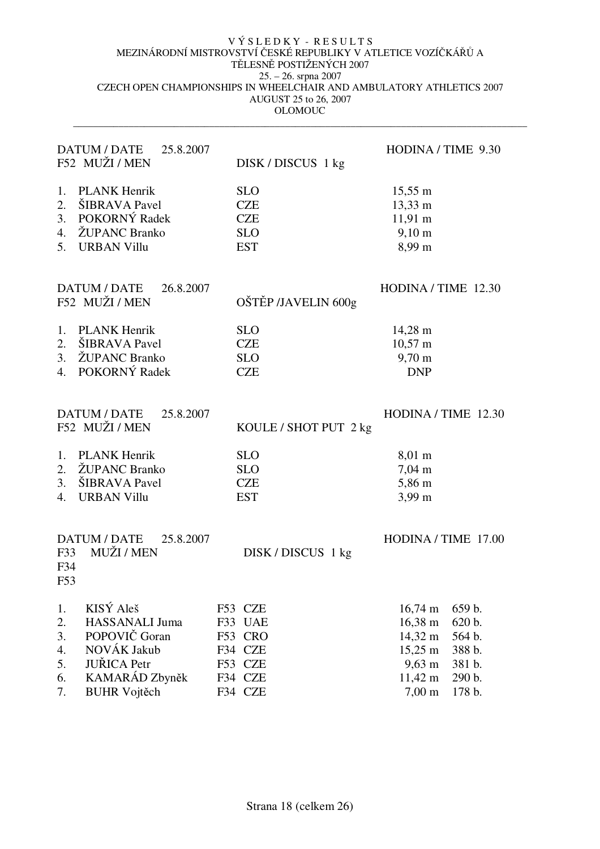|                                        | DATUM / DATE<br>25.8.2007<br>F52 MUŽI / MEN                                                                                       | DISK/DISCUS 1 kg                                                          | HODINA / TIME 9.30                                                                                                                                                                                    |
|----------------------------------------|-----------------------------------------------------------------------------------------------------------------------------------|---------------------------------------------------------------------------|-------------------------------------------------------------------------------------------------------------------------------------------------------------------------------------------------------|
| 1.<br>2.<br>3.<br>4.<br>5.             | <b>PLANK Henrik</b><br>ŠIBRAVA Pavel<br>POKORNÝ Radek<br>ŽUPANC Branko<br><b>URBAN Villu</b>                                      | <b>SLO</b><br><b>CZE</b><br><b>CZE</b><br><b>SLO</b><br><b>EST</b>        | $15,55 \; \text{m}$<br>13,33 m<br>$11,91 \text{ m}$<br>$9,10 \; \rm{m}$<br>8,99 m                                                                                                                     |
|                                        | DATUM / DATE<br>26.8.2007<br>F52 MUŽI / MEN                                                                                       | OŠTĚP /JAVELIN 600g                                                       | HODINA / TIME 12.30                                                                                                                                                                                   |
| 1.<br>2.<br>3.<br>4.                   | <b>PLANK Henrik</b><br>ŠIBRAVA Pavel<br>ŽUPANC Branko<br>POKORNÝ Radek                                                            | <b>SLO</b><br><b>CZE</b><br><b>SLO</b><br><b>CZE</b>                      | $14,28 \; \mathrm{m}$<br>$10,57 \text{ m}$<br>9,70 m<br><b>DNP</b>                                                                                                                                    |
|                                        | <b>DATUM / DATE</b><br>25.8.2007<br>F52 MUŽI / MEN                                                                                | KOULE / SHOT PUT 2 kg                                                     | HODINA / TIME 12.30                                                                                                                                                                                   |
| 1.<br>2.<br>3.<br>4.                   | <b>PLANK Henrik</b><br>ŽUPANC Branko<br>ŠIBRAVA Pavel<br><b>URBAN Villu</b>                                                       | <b>SLO</b><br><b>SLO</b><br><b>CZE</b><br><b>EST</b>                      | $8,01 \; \text{m}$<br>$7,04 \; \mathrm{m}$<br>5,86 m<br>$3,99 \text{ m}$                                                                                                                              |
| F33<br>F34<br>F53                      | DATUM / DATE<br>25.8.2007<br>MUŽI / MEN                                                                                           | DISK/DISCUS 1 kg                                                          | HODINA / TIME 17.00                                                                                                                                                                                   |
| 1.<br>2.<br>3.<br>4.<br>5.<br>6.<br>7. | KISÝ Aleš<br><b>HASSANALI Juma</b><br>POPOVIČ Goran<br>NOVÁK Jakub<br><b>JUŘICA</b> Petr<br>KAMARÁD Zbyněk<br><b>BUHR Vojtěch</b> | F53 CZE<br>F33 UAE<br>F53 CRO<br>F34 CZE<br>F53 CZE<br>F34 CZE<br>F34 CZE | $16,74 \text{ m}$<br>659 b.<br>$16,38 \; \rm{m}$<br>620 b.<br>14,32 m<br>564 b.<br>$15,25 \; \text{m}$<br>388 b.<br>$9,63 \; \mathrm{m}$<br>381 b.<br>11,42 m<br>290 b.<br>$7,00 \text{ m}$<br>178 b. |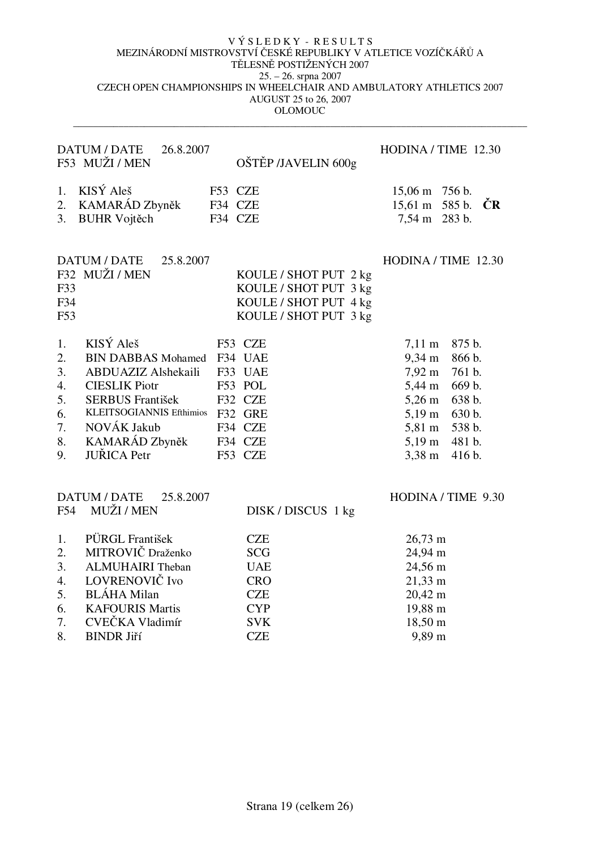|                                                    | <b>DATUM / DATE</b><br>26.8.2007<br>F53 MUŽI / MEN                                                                                                                                                          | OŠTĚP /JAVELIN 600g                                                                              | HODINA / TIME 12.30                                                                                                                                                                                                                                                        |
|----------------------------------------------------|-------------------------------------------------------------------------------------------------------------------------------------------------------------------------------------------------------------|--------------------------------------------------------------------------------------------------|----------------------------------------------------------------------------------------------------------------------------------------------------------------------------------------------------------------------------------------------------------------------------|
| 1.<br>2.<br>3.                                     | KISÝ Aleš<br>KAMARÁD Zbyněk<br><b>BUHR Vojtěch</b>                                                                                                                                                          | F53 CZE<br>F34 CZE<br>F34 CZE                                                                    | 15,06 m 756 b.<br>15,61 m 585 b.<br>ĊR<br>7,54 m 283 b.                                                                                                                                                                                                                    |
| F33<br>F34<br>F53                                  | DATUM / DATE<br>25.8.2007<br>F32 MUŽI / MEN                                                                                                                                                                 | KOULE / SHOT PUT 2 kg<br>KOULE / SHOT PUT 3 kg<br>KOULE / SHOT PUT 4 kg<br>KOULE / SHOT PUT 3 kg | HODINA / TIME 12.30                                                                                                                                                                                                                                                        |
| 1.<br>2.<br>3.<br>4.<br>5.<br>6.<br>7.<br>8.<br>9. | KISÝ Aleš<br><b>BIN DABBAS Mohamed</b><br>ABDUAZIZ Alshekaili<br><b>CIESLIK Piotr</b><br><b>SERBUS František</b><br>KLEITSOGIANNIS Efthimios F32 GRE<br>NOVÁK Jakub<br>KAMARÁD Zbyněk<br><b>JUŘICA</b> Petr | F53 CZE<br>F34 UAE<br>F33 UAE<br>F53 POL<br>F32 CZE<br>F34 CZE<br>F34 CZE<br>F53 CZE             | 875 b.<br>$7,11 \; \text{m}$<br>$9,34 \; \text{m}$<br>866 b.<br>$7,92 \text{ m}$<br>761 b.<br>5,44 m<br>669 b.<br>$5,26 \text{ m}$<br>638 b.<br>$5,19 \; \mathrm{m}$<br>630 b.<br>538 b.<br>$5,81 \text{ m}$<br>$5,19 \text{ m}$<br>481 b.<br>$3,38 \; \text{m}$<br>416 b. |
| F54                                                | DATUM / DATE<br>25.8.2007<br>MUŽI / MEN                                                                                                                                                                     | DISK/DISCUS 1 kg                                                                                 | HODINA / TIME 9.30                                                                                                                                                                                                                                                         |
| 1.<br>2.<br>3.<br>4.<br>5.<br>6.<br>7.             | PÜRGL František<br>MITROVIČ Draženko<br><b>ALMUHAIRI</b> Theban<br>LOVRENOVIČ Ivo<br><b>BLÁHA</b> Milan<br><b>KAFOURIS Martis</b><br>CVEČKA Vladimír                                                        | <b>CZE</b><br><b>SCG</b><br><b>UAE</b><br><b>CRO</b><br><b>CZE</b><br><b>CYP</b><br><b>SVK</b>   | $26,73 \text{ m}$<br>24,94 m<br>24,56 m<br>$21,33 \; \text{m}$<br>20,42 m<br>19,88 m<br>18,50 m                                                                                                                                                                            |
| 8.                                                 | <b>BINDR Jiří</b>                                                                                                                                                                                           | <b>CZE</b>                                                                                       | 9,89 m                                                                                                                                                                                                                                                                     |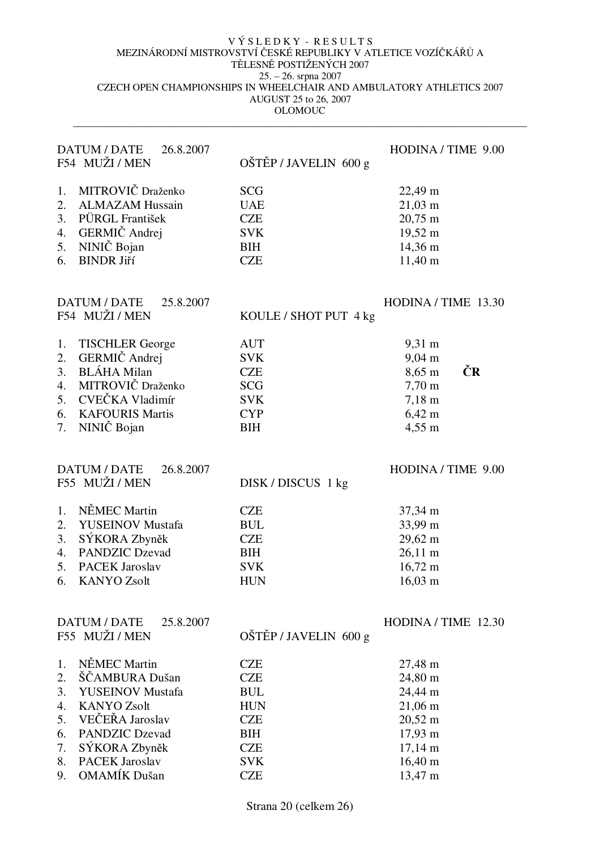$\_$  ,  $\_$  ,  $\_$  ,  $\_$  ,  $\_$  ,  $\_$  ,  $\_$  ,  $\_$  ,  $\_$  ,  $\_$  ,  $\_$  ,  $\_$  ,  $\_$  ,  $\_$  ,  $\_$  ,  $\_$  ,  $\_$  ,  $\_$  ,  $\_$  ,  $\_$  ,  $\_$  ,  $\_$  ,  $\_$  ,  $\_$  ,  $\_$  ,  $\_$  ,  $\_$  ,  $\_$  ,  $\_$  ,  $\_$  ,  $\_$  ,  $\_$  ,  $\_$  ,  $\_$  ,  $\_$  ,  $\_$  ,  $\_$  ,

|          | DATUM / DATE<br>26.8.2007<br>F54 MUŽI / MEN        | OŠTĚP / JAVELIN 600 g    | HODINA / TIME 9.00                     |
|----------|----------------------------------------------------|--------------------------|----------------------------------------|
| 1.       | MITROVIČ Draženko                                  | <b>SCG</b>               | 22,49 m                                |
| 2.       | <b>ALMAZAM Hussain</b>                             | <b>UAE</b>               | $21,03 \; \text{m}$                    |
| 3.       | PÜRGL František                                    | <b>CZE</b>               | $20,75 \text{ m}$                      |
| 4.       | GERMIČ Andrej                                      | <b>SVK</b>               | 19,52 m                                |
| 5.       | NINIČ Bojan                                        | <b>BIH</b>               | 14,36 m                                |
|          | <b>BINDR Jiří</b>                                  | <b>CZE</b>               |                                        |
| 6.       |                                                    |                          | $11,40 \text{ m}$                      |
|          | DATUM / DATE<br>25.8.2007                          |                          | HODINA / TIME 13.30                    |
|          | F54 MUŽI / MEN                                     | KOULE / SHOT PUT 4 kg    |                                        |
| 1.       | <b>TISCHLER George</b>                             | <b>AUT</b>               | $9,31 \text{ m}$                       |
| 2.       | GERMIČ Andrej                                      | <b>SVK</b>               | $9,04 \text{ m}$                       |
| 3.       | <b>BLÁHA</b> Milan                                 | <b>CZE</b>               | ČR<br>$8,65 \; \mathrm{m}$             |
| 4.       | MITROVIČ Draženko                                  | <b>SCG</b>               | $7,70 \text{ m}$                       |
| 5.       | CVEČKA Vladimír                                    | <b>SVK</b>               | $7,18 \; \text{m}$                     |
| 6.       | <b>KAFOURIS Martis</b>                             | <b>CYP</b>               | $6,42 \; m$                            |
| 7.       | NINIČ Bojan                                        | <b>BIH</b>               | 4,55 m                                 |
|          | <b>DATUM / DATE</b><br>26.8.2007<br>F55 MUŽI / MEN |                          | HODINA / TIME 9.00                     |
|          |                                                    | DISK/DISCUS 1 kg         |                                        |
| 1.       | NĚMEC Martin                                       | <b>CZE</b>               | 37,34 m                                |
| 2.       | <b>YUSEINOV Mustafa</b>                            | <b>BUL</b>               | 33,99 m                                |
| 3.       | SÝKORA Zbyněk                                      | <b>CZE</b>               | 29,62 m                                |
| 4.       | <b>PANDZIC Dzevad</b>                              | <b>BIH</b>               | $26,11 \text{ m}$                      |
| 5.       | <b>PACEK Jaroslav</b>                              | <b>SVK</b>               | $16,72 \text{ m}$                      |
| 6.       | <b>KANYO Zsolt</b>                                 | <b>HUN</b>               | $16,03 \; \text{m}$                    |
|          | <b>DATUM / DATE</b><br>25.8.2007                   |                          | HODINA / TIME 12.30                    |
|          | F55 MUŽI / MEN                                     | OŠTĚP / JAVELIN 600 g    |                                        |
| 1.       | NĚMEC Martin                                       | <b>CZE</b>               | 27,48 m                                |
| 2.       | ŠČAMBURA Dušan                                     | <b>CZE</b>               | 24,80 m                                |
| 3.       | <b>YUSEINOV Mustafa</b>                            | <b>BUL</b>               | 24,44 m                                |
| 4.       | <b>KANYO Zsolt</b>                                 | <b>HUN</b>               | 21,06 m                                |
| 5.       | VEČEŘA Jaroslav                                    | <b>CZE</b>               | $20,52 \text{ m}$                      |
|          |                                                    |                          |                                        |
|          |                                                    |                          |                                        |
| 6.       | <b>PANDZIC Dzevad</b>                              | <b>BIH</b>               | 17,93 m                                |
| 7.<br>8. | SÝKORA Zbyněk<br><b>PACEK Jaroslav</b>             | <b>CZE</b><br><b>SVK</b> | $17,14 \text{ m}$<br>$16,40 \text{ m}$ |

Strana 20 (celkem 26)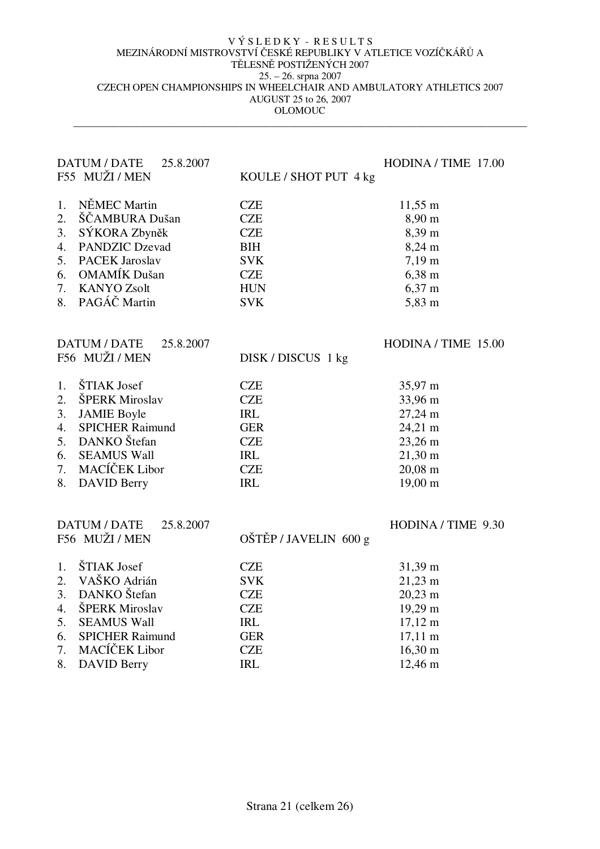|    | DATUM / DATE<br>25.8.2007<br>F55 MUŽI / MEN | KOULE / SHOT PUT 4 kg | HODINA / TIME 17.00  |
|----|---------------------------------------------|-----------------------|----------------------|
| 1. | NĚMEC Martin                                | <b>CZE</b>            | $11,55 \; \text{m}$  |
| 2. | ŠČAMBURA Dušan                              | <b>CZE</b>            | $8,90 \text{ m}$     |
| 3. | SÝKORA Zbyněk                               | <b>CZE</b>            | 8,39 m               |
| 4. | <b>PANDZIC Dzevad</b>                       | <b>BIH</b>            | 8,24 m               |
| 5. | <b>PACEK Jaroslav</b>                       | <b>SVK</b>            | $7,19 \text{ m}$     |
| 6. | <b>OMAMÍK</b> Dušan                         | <b>CZE</b>            | $6,38 \text{ m}$     |
| 7. | <b>KANYO Zsolt</b>                          | <b>HUN</b>            | $6,37 \; \mathrm{m}$ |
| 8. | PAGÁČ Martin                                | <b>SVK</b>            | 5,83 m               |
|    |                                             |                       |                      |
|    | <b>DATUM / DATE</b><br>25.8.2007            |                       | HODINA / TIME 15.00  |
|    | F56 MUŽI / MEN                              | DISK/DISCUS 1 kg      |                      |
| 1. | ŠTIAK Josef                                 | <b>CZE</b>            | 35,97 m              |
| 2. | ŠPERK Miroslav                              | <b>CZE</b>            | 33,96 m              |
| 3. | <b>JAMIE Boyle</b>                          | <b>IRL</b>            | 27,24 m              |
| 4. | <b>SPICHER Raimund</b>                      | <b>GER</b>            | 24,21 m              |
| 5. | DANKO Štefan                                | <b>CZE</b>            | 23,26 m              |
| 6. | <b>SEAMUS Wall</b>                          | <b>IRL</b>            | $21,30 \text{ m}$    |
| 7. | MACÍČEK Libor                               | <b>CZE</b>            | 20,08 m              |
| 8. | <b>DAVID Berry</b>                          | <b>IRL</b>            | $19,00 \text{ m}$    |
|    |                                             |                       |                      |
|    | <b>DATUM / DATE</b><br>25.8.2007            |                       | HODINA / TIME 9.30   |
|    | F56 MUŽI / MEN                              | OŠTĚP / JAVELIN 600 g |                      |
| 1. | ŠTIAK Josef                                 | <b>CZE</b>            | 31,39 m              |
| 2. | VAŠKO Adrián                                | <b>SVK</b>            | $21,23 \text{ m}$    |
| 3. | DANKO Štefan                                | <b>CZE</b>            | $20,23 \text{ m}$    |
| 4. | ŠPERK Miroslav                              | <b>CZE</b>            | 19,29 m              |
| 5. | <b>SEAMUS Wall</b>                          | <b>IRL</b>            | $17,12 \text{ m}$    |
| 6. | <b>SPICHER Raimund</b>                      | <b>GER</b>            | $17,11 \text{ m}$    |
| 7. | MACÍČEK Libor                               | <b>CZE</b>            | $16,30 \text{ m}$    |
| 8. | <b>DAVID Berry</b>                          | <b>IRL</b>            | 12,46 m              |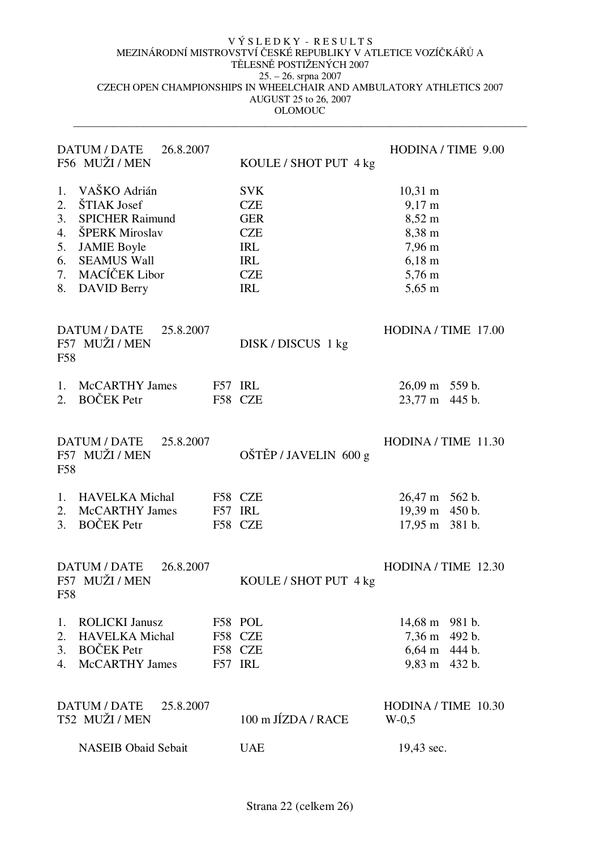| <b>DATUM / DATE</b><br>26.8.2007<br>F56 MUŽI / MEN                                                                                                                                                         | KOULE / SHOT PUT 4 kg                                                                                        | HODINA / TIME 9.00                                                                                                                                |
|------------------------------------------------------------------------------------------------------------------------------------------------------------------------------------------------------------|--------------------------------------------------------------------------------------------------------------|---------------------------------------------------------------------------------------------------------------------------------------------------|
| VAŠKO Adrián<br>1.<br>ŠTIAK Josef<br>2.<br>3.<br><b>SPICHER Raimund</b><br>ŠPERK Miroslav<br>4.<br>5.<br><b>JAMIE Boyle</b><br>6.<br><b>SEAMUS Wall</b><br>MACÍČEK Libor<br>7.<br>8.<br><b>DAVID Berry</b> | <b>SVK</b><br><b>CZE</b><br><b>GER</b><br><b>CZE</b><br><b>IRL</b><br><b>IRL</b><br><b>CZE</b><br><b>IRL</b> | $10,31 \text{ m}$<br>$9,17 \text{ m}$<br>8,52 m<br>8,38 m<br>$7,96 \text{ m}$<br>$6,18 \; \rm{m}$<br>$5,76 \; \mathrm{m}$<br>$5,65 \; \mathrm{m}$ |
| DATUM / DATE 25.8.2007<br>F57 MUŽI / MEN<br>F58                                                                                                                                                            | DISK/DISCUS 1 kg                                                                                             | HODINA / TIME 17.00                                                                                                                               |
| <b>McCARTHY James</b><br>1.<br><b>BOČEK</b> Petr<br>2.                                                                                                                                                     | F57 IRL<br>F58 CZE                                                                                           | 26,09 m 559 b.<br>23,77 m 445 b.                                                                                                                  |
| DATUM / DATE 25.8.2007<br>F57 MUŽI / MEN<br>F58                                                                                                                                                            | OŠTĚP / JAVELIN 600 g                                                                                        | HODINA / TIME 11.30                                                                                                                               |
| <b>HAVELKA</b> Michal<br>1.<br><b>McCARTHY James</b><br>2.<br><b>BOČEK</b> Petr<br>3.                                                                                                                      | F58 CZE<br>F57 IRL<br>F58 CZE                                                                                | 26,47 m 562 b.<br>19,39 m 450 b.<br>17,95 m 381 b.                                                                                                |
| DATUM / DATE<br>26.8.2007<br>F57 MUŽI / MEN<br>F58                                                                                                                                                         | KOULE / SHOT PUT 4 kg                                                                                        | HODINA / TIME 12.30                                                                                                                               |
| <b>ROLICKI Janusz</b><br>1.<br><b>HAVELKA</b> Michal<br>2.<br><b>BOČEK</b> Petr<br>3.<br><b>McCARTHY James</b><br>4.                                                                                       | F58 POL<br>F58 CZE<br>F58 CZE<br>F57 IRL                                                                     | 14,68 m 981 b.<br>7,36 m 492 b.<br>6,64 m 444 b.<br>9,83 m 432 b.                                                                                 |
| <b>DATUM / DATE</b><br>25.8.2007<br>T52 MUŽI / MEN                                                                                                                                                         | 100 m JÍZDA / RACE                                                                                           | HODINA / TIME 10.30<br>$W-0.5$                                                                                                                    |
| <b>NASEIB Obaid Sebait</b>                                                                                                                                                                                 | <b>UAE</b>                                                                                                   | 19,43 sec.                                                                                                                                        |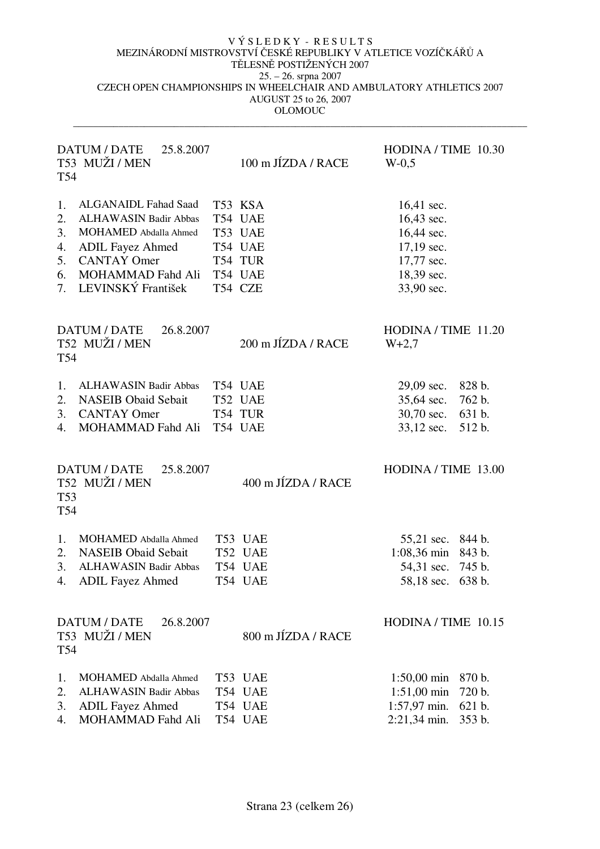| T54                                    | <b>DATUM / DATE</b><br>25.8.2007<br>T53 MUŽI / MEN                                                                                                                                      | 100 m JÍZDA / RACE                                                        | HODINA / TIME 10.30<br>$W-0.5$                                                                                           |  |
|----------------------------------------|-----------------------------------------------------------------------------------------------------------------------------------------------------------------------------------------|---------------------------------------------------------------------------|--------------------------------------------------------------------------------------------------------------------------|--|
| 1.<br>2.<br>3.<br>4.<br>5.<br>6.<br>7. | <b>ALGANAIDL Fahad Saad</b><br><b>ALHAWASIN Badir Abbas</b><br>MOHAMED Abdalla Ahmed<br><b>ADIL Fayez Ahmed</b><br><b>CANTAY Omer</b><br><b>MOHAMMAD Fahd Ali</b><br>LEVINSKÝ František | T53 KSA<br>T54 UAE<br>T53 UAE<br>T54 UAE<br>T54 TUR<br>T54 UAE<br>T54 CZE | 16,41 sec.<br>16,43 sec.<br>16,44 sec.<br>$17,19$ sec.<br>17,77 sec.<br>18,39 sec.<br>33,90 sec.                         |  |
| T54                                    | DATUM / DATE<br>26.8.2007<br>T52 MUŽI / MEN                                                                                                                                             | 200 m JÍZDA / RACE                                                        | HODINA / TIME 11.20<br>$W+2,7$                                                                                           |  |
| 1.<br>2.<br>3.<br>4.                   | <b>ALHAWASIN Badir Abbas</b><br><b>NASEIB Obaid Sebait</b><br><b>CANTAY Omer</b><br>MOHAMMAD Fahd Ali                                                                                   | T54 UAE<br>T52 UAE<br>T54 TUR<br>T54 UAE                                  | $29,09$ sec.<br>828 b.<br>762 b.<br>35,64 sec.<br>30,70 sec.<br>631 b.<br>33,12 sec.<br>512 b.                           |  |
| <b>T53</b><br>T54                      | DATUM / DATE<br>25.8.2007<br>T52 MUŽI / MEN                                                                                                                                             | 400 m JÍZDA / RACE                                                        | HODINA / TIME 13.00                                                                                                      |  |
| 1.<br>2.<br>3.<br>4.                   | MOHAMED Abdalla Ahmed<br><b>NASEIB Obaid Sebait</b><br><b>ALHAWASIN Badir Abbas</b><br><b>ADIL Fayez Ahmed</b>                                                                          | T53 UAE<br>T52 UAE<br>T54 UAE<br>T54 UAE                                  | 55,21 sec.<br>844 b.<br>1:08,36 min 843 b.<br>54,31 sec.<br>745 b.<br>58,18 sec.<br>638 b.                               |  |
| T54                                    | <b>DATUM / DATE</b><br>26.8.2007<br>T53 MUŽI / MEN                                                                                                                                      | 800 m JÍZDA / RACE                                                        | HODINA / TIME 10.15                                                                                                      |  |
| 1.<br>2.<br>3.<br>4.                   | MOHAMED Abdalla Ahmed<br><b>ALHAWASIN Badir Abbas</b><br><b>ADIL Fayez Ahmed</b><br>MOHAMMAD Fahd Ali                                                                                   | T53 UAE<br>T54 UAE<br>T54 UAE<br>T54 UAE                                  | $1:50,00 \text{ min}$<br>870 b.<br>$1:51,00 \text{ min}$<br>720 b.<br>$1:57,97$ min.<br>621 b.<br>2:21,34 min.<br>353 b. |  |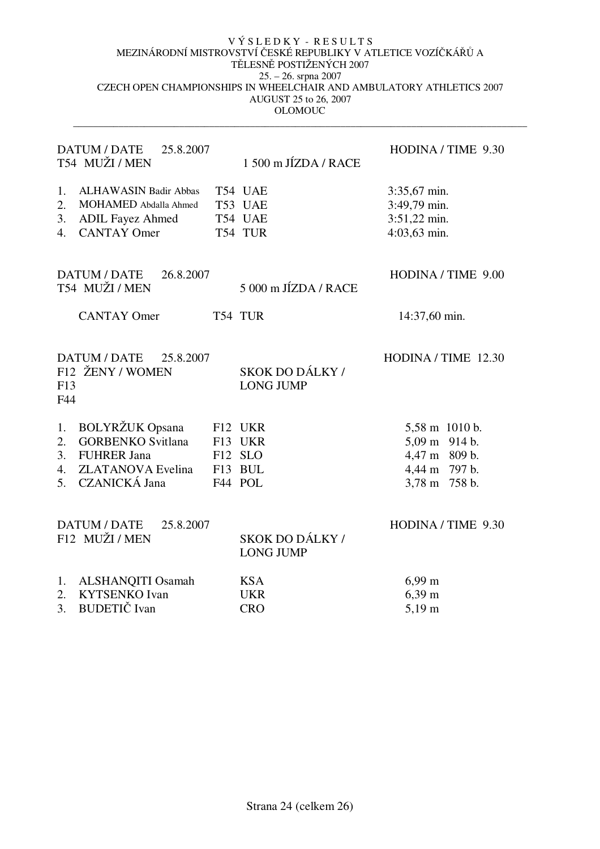| <b>DATUM / DATE</b><br>25.8.2007<br>T54 MUŽI / MEN                                                                                                         | 1 500 m JÍZDA / RACE                                | HODINA / TIME 9.30                                                                 |
|------------------------------------------------------------------------------------------------------------------------------------------------------------|-----------------------------------------------------|------------------------------------------------------------------------------------|
| <b>ALHAWASIN Badir Abbas</b><br>1.<br>2.<br>MOHAMED Abdalla Ahmed<br>3.<br><b>ADIL Fayez Ahmed</b><br><b>CANTAY Omer</b><br>4.                             | T54 UAE<br>T53 UAE<br>T54 UAE<br>T54 TUR            | 3:35,67 min.<br>3:49,79 min.<br>3:51,22 min.<br>4:03,63 min.                       |
| DATUM / DATE<br>26.8.2007<br>T54 MUŽI / MEN                                                                                                                | 5 000 m JÍZDA / RACE                                | HODINA / TIME 9.00                                                                 |
| <b>CANTAY Omer</b>                                                                                                                                         | T54 TUR                                             | 14:37,60 min.                                                                      |
| DATUM / DATE<br>25.8.2007<br>F12 ŽENY / WOMEN<br>F13<br>F44                                                                                                | SKOK DO DÁLKY /<br><b>LONG JUMP</b>                 | HODINA / TIME 12.30                                                                |
| <b>BOLYRŽUK Opsana</b><br>1.<br><b>GORBENKO Svitlana</b><br>2.<br>3.<br><b>FUHRER Jana</b><br><b>ZLATANOVA</b> Evelina<br>4.<br><b>CZANICKÁ Jana</b><br>5. | F12 UKR<br>F13 UKR<br>F12 SLO<br>F13 BUL<br>F44 POL | 5,58 m 1010 b.<br>5,09 m 914 b.<br>4,47 m 809 b.<br>4,44 m 797 b.<br>3,78 m 758 b. |
| <b>DATUM / DATE</b><br>25.8.2007<br>F12 MUŽI / MEN                                                                                                         | SKOK DO DÁLKY /<br><b>LONG JUMP</b>                 | HODINA / TIME 9.30                                                                 |
| ALSHANQITI Osamah<br>1.<br><b>KYTSENKO Ivan</b><br>$\overline{2}$ .<br><b>BUDETIČ</b> Ivan<br>3.                                                           | <b>KSA</b><br><b>UKR</b><br><b>CRO</b>              | $6,99 \; \mathrm{m}$<br>$6,39 \; \mathrm{m}$<br>$5,19 \; \mathrm{m}$               |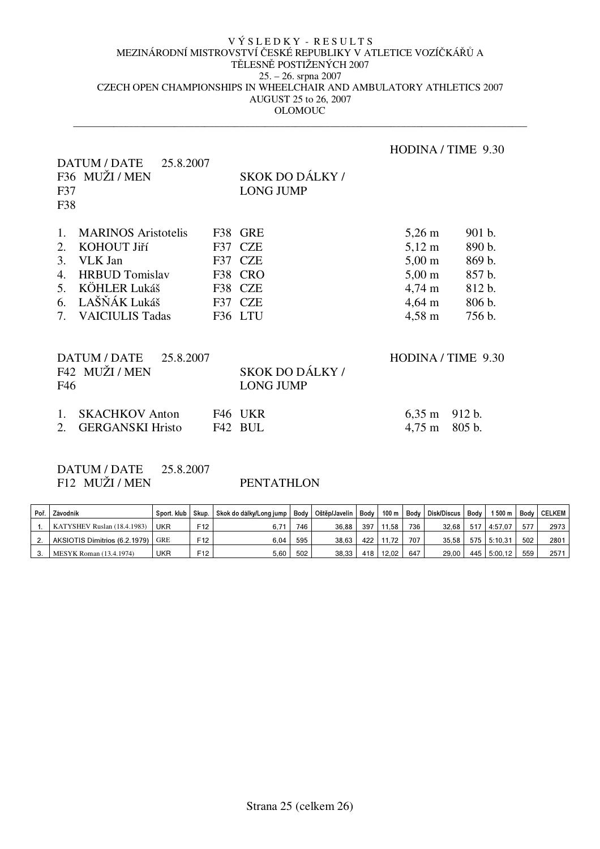$\_$  ,  $\_$  ,  $\_$  ,  $\_$  ,  $\_$  ,  $\_$  ,  $\_$  ,  $\_$  ,  $\_$  ,  $\_$  ,  $\_$  ,  $\_$  ,  $\_$  ,  $\_$  ,  $\_$  ,  $\_$  ,  $\_$  ,  $\_$  ,  $\_$  ,  $\_$  ,  $\_$  ,  $\_$  ,  $\_$  ,  $\_$  ,  $\_$  ,  $\_$  ,  $\_$  ,  $\_$  ,  $\_$  ,  $\_$  ,  $\_$  ,  $\_$  ,  $\_$  ,  $\_$  ,  $\_$  ,  $\_$  ,  $\_$  ,

# DATUM / DATE 25.8.2007 HODINA / TIME 9.30 F36 MUŽI / MEN F37 F38 SKOK DO DÁLKY / LONG JUMP 1. MARINOS Aristotelis F38 GRE 5,26 m 901 b. 2. KOHOUT Jiří F37 CZE 5,12 m 890 b. 3. VLK Jan F37 CZE 5,00 m 869 b. 4. HRBUD Tomislav F38 CRO 5,00 m 857 b. 5. KÖHLER Lukáš F38 CZE 4,74 m 812 b. 6. LAŠŇÁK Lukáš F37 CZE 4,64 m 806 b. 7. VAICIULIS Tadas F36 LTU 4,58 m 756 b. DATUM / DATE 25.8.2007 HODINA / TIME 9.30 F42 MUŽI / MEN F46 SKOK DO DÁLKY / LONG JUMP 1. SKACHKOV Anton F46 UKR 6,35 m 912 b. 2. GERGANSKI Hristo F42 BUL 4,75 m 805 b.

DATUM / DATE 25.8.2007 F12 MUŽI / MEN PENTATHLON

| Poř. | Závodník                          | Sport, klub | Skup.           | Skok do dálky/Long jump   Body   Oštěp/Javelin |     |       | Body | 100 m |     | Body Disk/Discus | Body | 500 m       | Bodv | <b>CELKEM</b> |
|------|-----------------------------------|-------------|-----------------|------------------------------------------------|-----|-------|------|-------|-----|------------------|------|-------------|------|---------------|
|      | KATYSHEV Ruslan (18.4.1983)       | UKR         | F12             |                                                | 746 | 36.88 | 397  | 11.58 | 736 | 32.68            |      | 517 4:57.07 | 577  | 2973          |
|      | AKSIOTIS Dimitrios (6.2.1979) GRE |             | F12             | 6.04                                           | 595 | 38.63 | 422  | 11.72 | 707 | 35.58            |      | 575 5:10.31 | 502  | 2801          |
| 3.   | MESYK Roman (13.4.1974)           | UKR         | F <sub>12</sub> | 5.60                                           | 502 | 38.33 | 418  | 12.02 | 647 | 29.00            |      | 445 5:00.12 | 559  | 2571          |